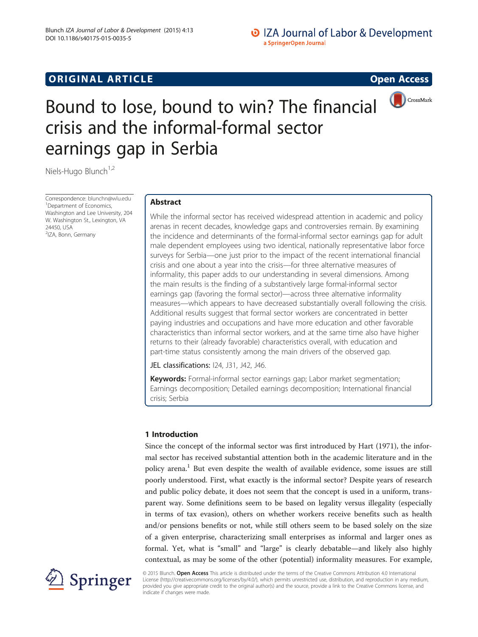# **ORIGINAL ARTICLE CONSUMING A LIGACION** CONSUMING A LIGACION CONSUMING A LIGACION CONSUMING A LIGACION CONSUMING A LIGACION CONSUMING A LIGACION CONSUMING A LIGACION CONSUMING A LIGACION CONSUMING A LIGACION CONSUMING A



# Bound to lose, bound to win? The financial crisis and the informal-formal sector earnings gap in Serbia

Niels-Hugo Blunch<sup>1,2</sup>

Correspondence: [blunchn@wlu.edu](mailto:blunchn@wlu.edu) <sup>1</sup> <sup>1</sup>Department of Economics, Washington and Lee University, 204 W. Washington St., Lexington, VA 24450, USA <sup>2</sup>IZA, Bonn, Germany

# Abstract

While the informal sector has received widespread attention in academic and policy arenas in recent decades, knowledge gaps and controversies remain. By examining the incidence and determinants of the formal-informal sector earnings gap for adult male dependent employees using two identical, nationally representative labor force surveys for Serbia—one just prior to the impact of the recent international financial crisis and one about a year into the crisis—for three alternative measures of informality, this paper adds to our understanding in several dimensions. Among the main results is the finding of a substantively large formal-informal sector earnings gap (favoring the formal sector)—across three alternative informality measures—which appears to have decreased substantially overall following the crisis. Additional results suggest that formal sector workers are concentrated in better paying industries and occupations and have more education and other favorable characteristics than informal sector workers, and at the same time also have higher returns to their (already favorable) characteristics overall, with education and part-time status consistently among the main drivers of the observed gap.

JEL classifications: I24, J31, J42, J46.

Keywords: Formal-informal sector earnings gap; Labor market segmentation; Earnings decomposition; Detailed earnings decomposition; International financial crisis; Serbia

# 1 Introduction

Since the concept of the informal sector was first introduced by Hart ([1971](#page-32-0)), the informal sector has received substantial attention both in the academic literature and in the policy arena.<sup>1</sup> But even despite the wealth of available evidence, some issues are still poorly understood. First, what exactly is the informal sector? Despite years of research and public policy debate, it does not seem that the concept is used in a uniform, transparent way. Some definitions seem to be based on legality versus illegality (especially in terms of tax evasion), others on whether workers receive benefits such as health and/or pensions benefits or not, while still others seem to be based solely on the size of a given enterprise, characterizing small enterprises as informal and larger ones as formal. Yet, what is "small" and "large" is clearly debatable—and likely also highly contextual, as may be some of the other (potential) informality measures. For example,



© 2015 Blunch. Open Access This article is distributed under the terms of the Creative Commons Attribution 4.0 International License [\(http://creativecommons.org/licenses/by/4.0/](http://creativecommons.org/licenses/by/4.0/)), which permits unrestricted use, distribution, and reproduction in any medium, provided you give appropriate credit to the original author(s) and the source, provide a link to the Creative Commons license, and indicate if changes were made.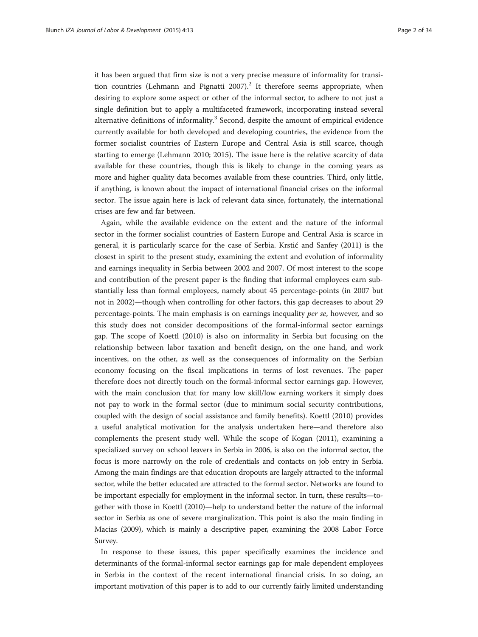it has been argued that firm size is not a very precise measure of informality for transi-tion countries (Lehmann and Pignatti [2007\)](#page-33-0).<sup>2</sup> It therefore seems appropriate, when desiring to explore some aspect or other of the informal sector, to adhere to not just a single definition but to apply a multifaceted framework, incorporating instead several alternative definitions of informality.<sup>3</sup> Second, despite the amount of empirical evidence currently available for both developed and developing countries, the evidence from the former socialist countries of Eastern Europe and Central Asia is still scarce, though starting to emerge (Lehmann [2010; 2015](#page-33-0)). The issue here is the relative scarcity of data available for these countries, though this is likely to change in the coming years as more and higher quality data becomes available from these countries. Third, only little, if anything, is known about the impact of international financial crises on the informal sector. The issue again here is lack of relevant data since, fortunately, the international crises are few and far between.

Again, while the available evidence on the extent and the nature of the informal sector in the former socialist countries of Eastern Europe and Central Asia is scarce in general, it is particularly scarce for the case of Serbia. Krstić and Sanfey ([2011\)](#page-33-0) is the closest in spirit to the present study, examining the extent and evolution of informality and earnings inequality in Serbia between 2002 and 2007. Of most interest to the scope and contribution of the present paper is the finding that informal employees earn substantially less than formal employees, namely about 45 percentage-points (in 2007 but not in 2002)—though when controlling for other factors, this gap decreases to about 29 percentage-points. The main emphasis is on earnings inequality per se, however, and so this study does not consider decompositions of the formal-informal sector earnings gap. The scope of Koettl [\(2010](#page-33-0)) is also on informality in Serbia but focusing on the relationship between labor taxation and benefit design, on the one hand, and work incentives, on the other, as well as the consequences of informality on the Serbian economy focusing on the fiscal implications in terms of lost revenues. The paper therefore does not directly touch on the formal-informal sector earnings gap. However, with the main conclusion that for many low skill/low earning workers it simply does not pay to work in the formal sector (due to minimum social security contributions, coupled with the design of social assistance and family benefits). Koettl [\(2010\)](#page-33-0) provides a useful analytical motivation for the analysis undertaken here—and therefore also complements the present study well. While the scope of Kogan [\(2011\)](#page-33-0), examining a specialized survey on school leavers in Serbia in 2006, is also on the informal sector, the focus is more narrowly on the role of credentials and contacts on job entry in Serbia. Among the main findings are that education dropouts are largely attracted to the informal sector, while the better educated are attracted to the formal sector. Networks are found to be important especially for employment in the informal sector. In turn, these results—together with those in Koettl [\(2010\)](#page-33-0)—help to understand better the nature of the informal sector in Serbia as one of severe marginalization. This point is also the main finding in Macias ([2009\)](#page-33-0), which is mainly a descriptive paper, examining the 2008 Labor Force Survey.

In response to these issues, this paper specifically examines the incidence and determinants of the formal-informal sector earnings gap for male dependent employees in Serbia in the context of the recent international financial crisis. In so doing, an important motivation of this paper is to add to our currently fairly limited understanding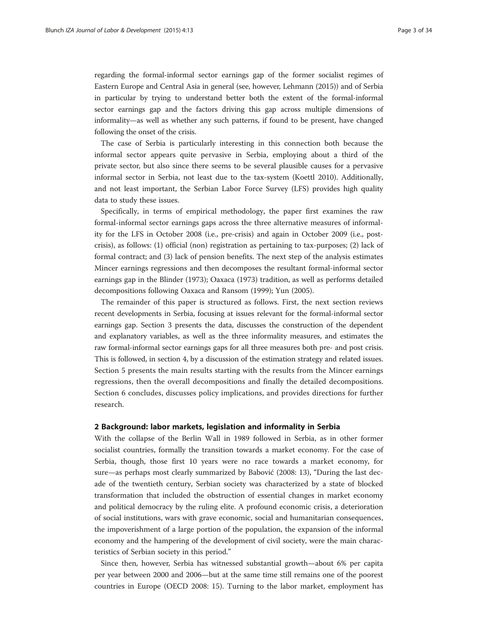regarding the formal-informal sector earnings gap of the former socialist regimes of Eastern Europe and Central Asia in general (see, however, Lehmann ([2015\)](#page-33-0)) and of Serbia in particular by trying to understand better both the extent of the formal-informal sector earnings gap and the factors driving this gap across multiple dimensions of informality—as well as whether any such patterns, if found to be present, have changed following the onset of the crisis.

The case of Serbia is particularly interesting in this connection both because the informal sector appears quite pervasive in Serbia, employing about a third of the private sector, but also since there seems to be several plausible causes for a pervasive informal sector in Serbia, not least due to the tax-system (Koettl [2010](#page-33-0)). Additionally, and not least important, the Serbian Labor Force Survey (LFS) provides high quality data to study these issues.

Specifically, in terms of empirical methodology, the paper first examines the raw formal-informal sector earnings gaps across the three alternative measures of informality for the LFS in October 2008 (i.e., pre-crisis) and again in October 2009 (i.e., postcrisis), as follows: (1) official (non) registration as pertaining to tax-purposes; (2) lack of formal contract; and (3) lack of pension benefits. The next step of the analysis estimates Mincer earnings regressions and then decomposes the resultant formal-informal sector earnings gap in the Blinder [\(1973](#page-32-0)); Oaxaca [\(1973](#page-33-0)) tradition, as well as performs detailed decompositions following Oaxaca and Ransom ([1999](#page-33-0)); Yun [\(2005](#page-33-0)).

The remainder of this paper is structured as follows. First, the next section reviews recent developments in Serbia, focusing at issues relevant for the formal-informal sector earnings gap. Section [3](#page-3-0) presents the data, discusses the construction of the dependent and explanatory variables, as well as the three informality measures, and estimates the raw formal-informal sector earnings gaps for all three measures both pre- and post crisis. This is followed, in section [4](#page-15-0), by a discussion of the estimation strategy and related issues. Section [5](#page-18-0) presents the main results starting with the results from the Mincer earnings regressions, then the overall decompositions and finally the detailed decompositions. Section [6](#page-27-0) concludes, discusses policy implications, and provides directions for further research.

# 2 Background: labor markets, legislation and informality in Serbia

With the collapse of the Berlin Wall in 1989 followed in Serbia, as in other former socialist countries, formally the transition towards a market economy. For the case of Serbia, though, those first 10 years were no race towards a market economy, for sure—as perhaps most clearly summarized by Babović ([2008](#page-32-0): 13), "During the last decade of the twentieth century, Serbian society was characterized by a state of blocked transformation that included the obstruction of essential changes in market economy and political democracy by the ruling elite. A profound economic crisis, a deterioration of social institutions, wars with grave economic, social and humanitarian consequences, the impoverishment of a large portion of the population, the expansion of the informal economy and the hampering of the development of civil society, were the main characteristics of Serbian society in this period."

Since then, however, Serbia has witnessed substantial growth—about 6% per capita per year between 2000 and 2006—but at the same time still remains one of the poorest countries in Europe (OECD [2008:](#page-33-0) 15). Turning to the labor market, employment has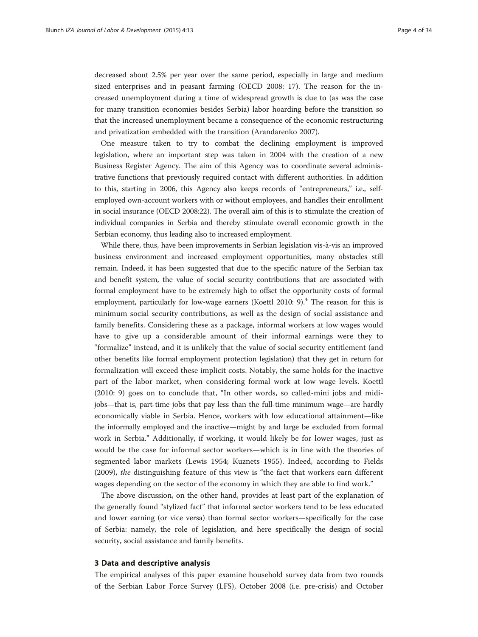<span id="page-3-0"></span>decreased about 2.5% per year over the same period, especially in large and medium sized enterprises and in peasant farming (OECD [2008:](#page-33-0) 17). The reason for the increased unemployment during a time of widespread growth is due to (as was the case for many transition economies besides Serbia) labor hoarding before the transition so that the increased unemployment became a consequence of the economic restructuring and privatization embedded with the transition (Arandarenko [2007\)](#page-32-0).

One measure taken to try to combat the declining employment is improved legislation, where an important step was taken in 2004 with the creation of a new Business Register Agency. The aim of this Agency was to coordinate several administrative functions that previously required contact with different authorities. In addition to this, starting in 2006, this Agency also keeps records of "entrepreneurs," i.e., selfemployed own-account workers with or without employees, and handles their enrollment in social insurance (OECD [2008](#page-33-0):22). The overall aim of this is to stimulate the creation of individual companies in Serbia and thereby stimulate overall economic growth in the Serbian economy, thus leading also to increased employment.

While there, thus, have been improvements in Serbian legislation vis-à-vis an improved business environment and increased employment opportunities, many obstacles still remain. Indeed, it has been suggested that due to the specific nature of the Serbian tax and benefit system, the value of social security contributions that are associated with formal employment have to be extremely high to offset the opportunity costs of formal employment, particularly for low-wage earners (Koettl [2010:](#page-33-0) 9).<sup>4</sup> The reason for this is minimum social security contributions, as well as the design of social assistance and family benefits. Considering these as a package, informal workers at low wages would have to give up a considerable amount of their informal earnings were they to "formalize" instead, and it is unlikely that the value of social security entitlement (and other benefits like formal employment protection legislation) that they get in return for formalization will exceed these implicit costs. Notably, the same holds for the inactive part of the labor market, when considering formal work at low wage levels. Koettl ([2010:](#page-33-0) 9) goes on to conclude that, "In other words, so called-mini jobs and midijobs—that is, part-time jobs that pay less than the full-time minimum wage—are hardly economically viable in Serbia. Hence, workers with low educational attainment—like the informally employed and the inactive—might by and large be excluded from formal work in Serbia." Additionally, if working, it would likely be for lower wages, just as would be the case for informal sector workers—which is in line with the theories of segmented labor markets (Lewis [1954;](#page-33-0) Kuznets [1955\)](#page-33-0). Indeed, according to Fields ([2009\)](#page-32-0), the distinguishing feature of this view is "the fact that workers earn different wages depending on the sector of the economy in which they are able to find work."

The above discussion, on the other hand, provides at least part of the explanation of the generally found "stylized fact" that informal sector workers tend to be less educated and lower earning (or vice versa) than formal sector workers—specifically for the case of Serbia: namely, the role of legislation, and here specifically the design of social security, social assistance and family benefits.

# 3 Data and descriptive analysis

The empirical analyses of this paper examine household survey data from two rounds of the Serbian Labor Force Survey (LFS), October 2008 (i.e. pre-crisis) and October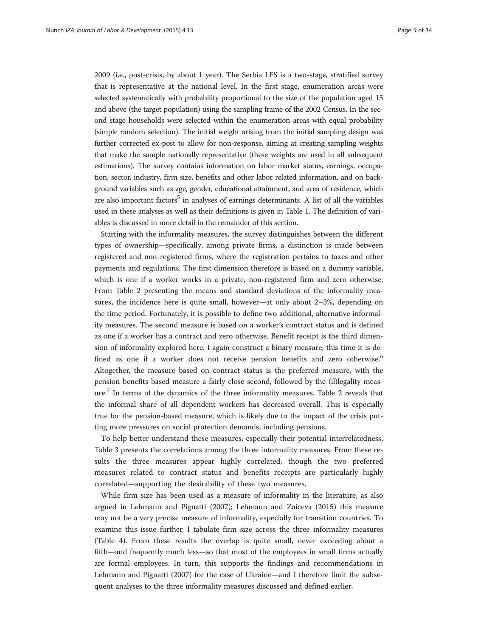2009 (i.e., post-crisis, by about 1 year). The Serbia LFS is a two-stage, stratified survey that is representative at the national level. In the first stage, enumeration areas were selected systematically with probability proportional to the size of the population aged 15 and above (the target population) using the sampling frame of the 2002 Census. In the second stage households were selected within the enumeration areas with equal probability (simple random selection). The initial weight arising from the initial sampling design was further corrected ex-post to allow for non-response, aiming at creating sampling weights that make the sample nationally representative (these weights are used in all subsequent estimations). The survey contains information on labor market status, earnings, occupation, sector, industry, firm size, benefits and other labor related information, and on background variables such as age, gender, educational attainment, and area of residence, which are also important factors<sup>5</sup> in analyses of earnings determinants. A list of all the variables used in these analyses as well as their definitions is given in Table [1.](#page-5-0) The definition of variables is discussed in more detail in the remainder of this section.

Starting with the informality measures, the survey distinguishes between the different types of ownership—specifically, among private firms, a distinction is made between registered and non-registered firms, where the registration pertains to taxes and other payments and regulations. The first dimension therefore is based on a dummy variable, which is one if a worker works in a private, non-registered firm and zero otherwise. From Table [2](#page-6-0) presenting the means and standard deviations of the informality measures, the incidence here is quite small, however—at only about 2–3%, depending on the time period. Fortunately, it is possible to define two additional, alternative informality measures. The second measure is based on a worker's contract status and is defined as one if a worker has a contract and zero otherwise. Benefit receipt is the third dimension of informality explored here. I again construct a binary measure; this time it is defined as one if a worker does not receive pension benefits and zero otherwise.<sup>6</sup> Altogether, the measure based on contract status is the preferred measure, with the pension benefits based measure a fairly close second, followed by the (il)legality measure.<sup>7</sup> In terms of the dynamics of the three informality measures, Table [2](#page-6-0) reveals that the informal share of all dependent workers has decreased overall. This is especially true for the pension-based measure, which is likely due to the impact of the crisis putting more pressures on social protection demands, including pensions.

To help better understand these measures, especially their potential interrelatedness, Table [3](#page-7-0) presents the correlations among the three informality measures. From these results the three measures appear highly correlated, though the two preferred measures related to contract status and benefits receipts are particularly highly correlated—supporting the desirability of these two measures.

While firm size has been used as a measure of informality in the literature, as also argued in Lehmann and Pignatti ([2007\)](#page-33-0); Lehmann and Zaiceva [\(2015](#page-33-0)) this measure may not be a very precise measure of informality, especially for transition countries. To examine this issue further, I tabulate firm size across the three informality measures (Table [4](#page-8-0)). From these results the overlap is quite small, never exceeding about a fifth—and frequently much less—so that most of the employees in small firms actually are formal employees. In turn, this supports the findings and recommendations in Lehmann and Pignatti [\(2007\)](#page-33-0) for the case of Ukraine—and I therefore limit the subsequent analyses to the three informality measures discussed and defined earlier.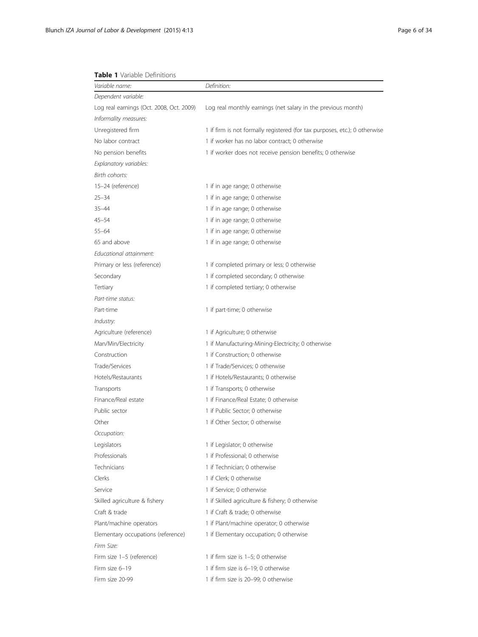| $\blacksquare$ $\blacksquare$ and $\blacksquare$ and $\blacksquare$ |                                                                            |
|---------------------------------------------------------------------|----------------------------------------------------------------------------|
| Variable name:                                                      | Definition:                                                                |
| Dependent variable:                                                 |                                                                            |
| Log real earnings (Oct. 2008, Oct. 2009)                            | Log real monthly earnings (net salary in the previous month)               |
| Informality measures:                                               |                                                                            |
| Unregistered firm                                                   | 1 if firm is not formally registered (for tax purposes, etc.); 0 otherwise |
| No labor contract                                                   | 1 if worker has no labor contract; 0 otherwise                             |
| No pension benefits                                                 | 1 if worker does not receive pension benefits; 0 otherwise                 |
| Explanatory variables:                                              |                                                                            |
| Birth cohorts:                                                      |                                                                            |
| 15-24 (reference)                                                   | 1 if in age range; 0 otherwise                                             |
| $25 - 34$                                                           | 1 if in age range; 0 otherwise                                             |
| $35 - 44$                                                           | 1 if in age range; 0 otherwise                                             |
| $45 - 54$                                                           | 1 if in age range; 0 otherwise                                             |
| $55 - 64$                                                           | 1 if in age range; 0 otherwise                                             |
| 65 and above                                                        | 1 if in age range; 0 otherwise                                             |
| Educational attainment:                                             |                                                                            |
| Primary or less (reference)                                         | 1 if completed primary or less; 0 otherwise                                |
| Secondary                                                           | 1 if completed secondary; 0 otherwise                                      |
| Tertiary                                                            | 1 if completed tertiary; 0 otherwise                                       |
| Part-time status:                                                   |                                                                            |
| Part-time                                                           | 1 if part-time; 0 otherwise                                                |
| Industry:                                                           |                                                                            |
| Agriculture (reference)                                             | 1 if Agriculture; 0 otherwise                                              |
| Man/Min/Electricity                                                 | 1 if Manufacturing-Mining-Electricity; 0 otherwise                         |
| Construction                                                        | 1 if Construction; 0 otherwise                                             |
| Trade/Services                                                      | 1 if Trade/Services; 0 otherwise                                           |
| Hotels/Restaurants                                                  | 1 if Hotels/Restaurants; 0 otherwise                                       |
| Transports                                                          | 1 if Transports; 0 otherwise                                               |
| Finance/Real estate                                                 | 1 if Finance/Real Estate; 0 otherwise                                      |
| Public sector                                                       | 1 if Public Sector; 0 otherwise                                            |
| Other                                                               | 1 if Other Sector; 0 otherwise                                             |
| Occupation:                                                         |                                                                            |
| Legislators                                                         | 1 if Legislator; 0 otherwise                                               |
| Professionals                                                       | 1 if Professional; 0 otherwise                                             |
| Technicians                                                         | 1 if Technician; 0 otherwise                                               |
| Clerks                                                              | 1 if Clerk; 0 otherwise                                                    |
| Service                                                             | 1 if Service; 0 otherwise                                                  |
| Skilled agriculture & fishery                                       | 1 if Skilled agriculture & fishery; 0 otherwise                            |
| Craft & trade                                                       | 1 if Craft & trade; 0 otherwise                                            |
| Plant/machine operators                                             | 1 if Plant/machine operator; 0 otherwise                                   |
| Elementary occupations (reference)                                  | 1 if Elementary occupation; 0 otherwise                                    |
| Firm Size:                                                          |                                                                            |
| Firm size 1-5 (reference)                                           | 1 if firm size is 1-5; 0 otherwise                                         |
| Firm size 6-19                                                      | 1 if firm size is 6-19; 0 otherwise                                        |
| Firm size 20-99                                                     | 1 if firm size is 20-99; 0 otherwise                                       |
|                                                                     |                                                                            |

# <span id="page-5-0"></span>Table 1 Variable Definitions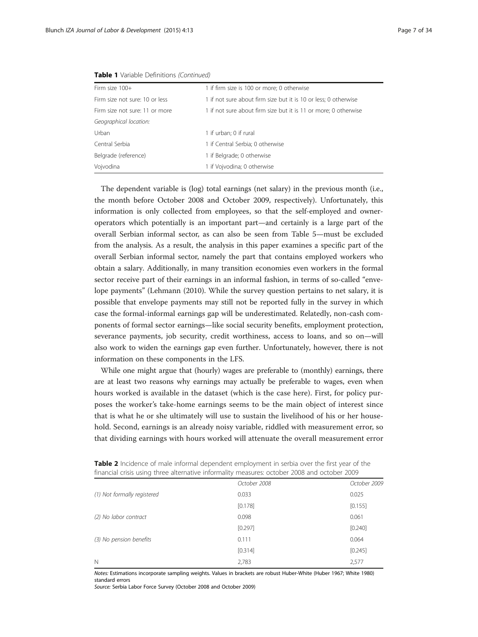| 1 if firm size is 100 or more; 0 otherwise                      |
|-----------------------------------------------------------------|
| 1 if not sure about firm size but it is 10 or less; 0 otherwise |
| 1 if not sure about firm size but it is 11 or more; 0 otherwise |
|                                                                 |
| 1 if urban; 0 if rural                                          |
| 1 if Central Serbia; 0 otherwise                                |
| 1 if Belgrade; 0 otherwise                                      |
| 1 if Vojvodina; 0 otherwise                                     |
|                                                                 |

<span id="page-6-0"></span>Table 1 Variable Definitions (Continued)

The dependent variable is (log) total earnings (net salary) in the previous month (i.e., the month before October 2008 and October 2009, respectively). Unfortunately, this information is only collected from employees, so that the self-employed and owneroperators which potentially is an important part—and certainly is a large part of the overall Serbian informal sector, as can also be seen from Table [5](#page-9-0)—must be excluded from the analysis. As a result, the analysis in this paper examines a specific part of the overall Serbian informal sector, namely the part that contains employed workers who obtain a salary. Additionally, in many transition economies even workers in the formal sector receive part of their earnings in an informal fashion, in terms of so-called "envelope payments" (Lehmann ([2010](#page-33-0)). While the survey question pertains to net salary, it is possible that envelope payments may still not be reported fully in the survey in which case the formal-informal earnings gap will be underestimated. Relatedly, non-cash components of formal sector earnings—like social security benefits, employment protection, severance payments, job security, credit worthiness, access to loans, and so on—will also work to widen the earnings gap even further. Unfortunately, however, there is not information on these components in the LFS.

While one might argue that (hourly) wages are preferable to (monthly) earnings, there are at least two reasons why earnings may actually be preferable to wages, even when hours worked is available in the dataset (which is the case here). First, for policy purposes the worker's take-home earnings seems to be the main object of interest since that is what he or she ultimately will use to sustain the livelihood of his or her household. Second, earnings is an already noisy variable, riddled with measurement error, so that dividing earnings with hours worked will attenuate the overall measurement error

|                             | mancial crisis asing three alternative imorniality incasares. October 2000 and October 2009 |              |
|-----------------------------|---------------------------------------------------------------------------------------------|--------------|
|                             | October 2008                                                                                | October 2009 |
| (1) Not formally registered | 0.033                                                                                       | 0.025        |
|                             | [0.178]                                                                                     | [0.155]      |
| (2) No labor contract       | 0.098                                                                                       | 0.061        |
|                             | [0.297]                                                                                     | [0.240]      |
| (3) No pension benefits     | 0.111                                                                                       | 0.064        |
|                             | [0.314]                                                                                     | [0.245]      |
| $\mathsf{N}$                | 2,783                                                                                       | 2,577        |

**Table 2** Incidence of male informal dependent employment in serbia over the first year of the financial crisis using three alternative informality measures: october 2008 and october 2009

Notes: Estimations incorporate sampling weights. Values in brackets are robust Huber-White (Huber 1967; White 1980) standard errors

Source: Serbia Labor Force Survey (October 2008 and October 2009)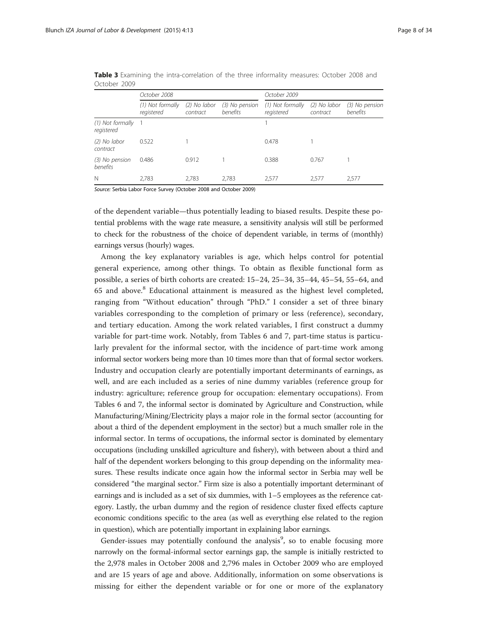|                                | October 2008                   |                            |                            | October 2009                   |                          |                            |  |
|--------------------------------|--------------------------------|----------------------------|----------------------------|--------------------------------|--------------------------|----------------------------|--|
|                                | (1) Not formally<br>registered | $(2)$ No labor<br>contract | (3) No pension<br>benefits | (1) Not formally<br>registered | (2) No labor<br>contract | (3) No pension<br>benefits |  |
| (1) Not formally<br>registered |                                |                            |                            |                                |                          |                            |  |
| (2) No labor<br>contract       | 0.522                          |                            |                            | 0.478                          |                          |                            |  |
| (3) No pension<br>benefits     | 0.486                          | 0.912                      |                            | 0.388                          | 0.767                    |                            |  |
| N                              | 2.783                          | 2.783                      | 2.783                      | 2,577                          | 2.577                    | 2,577                      |  |

<span id="page-7-0"></span>Table 3 Examining the intra-correlation of the three informality measures: October 2008 and October 2009

Source: Serbia Labor Force Survey (October 2008 and October 2009)

of the dependent variable—thus potentially leading to biased results. Despite these potential problems with the wage rate measure, a sensitivity analysis will still be performed to check for the robustness of the choice of dependent variable, in terms of (monthly) earnings versus (hourly) wages.

Among the key explanatory variables is age, which helps control for potential general experience, among other things. To obtain as flexible functional form as possible, a series of birth cohorts are created: 15–24, 25–34, 35–44, 45–54, 55–64, and 65 and above.<sup>8</sup> Educational attainment is measured as the highest level completed, ranging from "Without education" through "PhD." I consider a set of three binary variables corresponding to the completion of primary or less (reference), secondary, and tertiary education. Among the work related variables, I first construct a dummy variable for part-time work. Notably, from Tables [6](#page-10-0) and [7,](#page-13-0) part-time status is particularly prevalent for the informal sector, with the incidence of part-time work among informal sector workers being more than 10 times more than that of formal sector workers. Industry and occupation clearly are potentially important determinants of earnings, as well, and are each included as a series of nine dummy variables (reference group for industry: agriculture; reference group for occupation: elementary occupations). From Tables [6](#page-10-0) and [7](#page-13-0), the informal sector is dominated by Agriculture and Construction, while Manufacturing/Mining/Electricity plays a major role in the formal sector (accounting for about a third of the dependent employment in the sector) but a much smaller role in the informal sector. In terms of occupations, the informal sector is dominated by elementary occupations (including unskilled agriculture and fishery), with between about a third and half of the dependent workers belonging to this group depending on the informality measures. These results indicate once again how the informal sector in Serbia may well be considered "the marginal sector." Firm size is also a potentially important determinant of earnings and is included as a set of six dummies, with 1–5 employees as the reference category. Lastly, the urban dummy and the region of residence cluster fixed effects capture economic conditions specific to the area (as well as everything else related to the region in question), which are potentially important in explaining labor earnings.

Gender-issues may potentially confound the analysis<sup>9</sup>, so to enable focusing more narrowly on the formal-informal sector earnings gap, the sample is initially restricted to the 2,978 males in October 2008 and 2,796 males in October 2009 who are employed and are 15 years of age and above. Additionally, information on some observations is missing for either the dependent variable or for one or more of the explanatory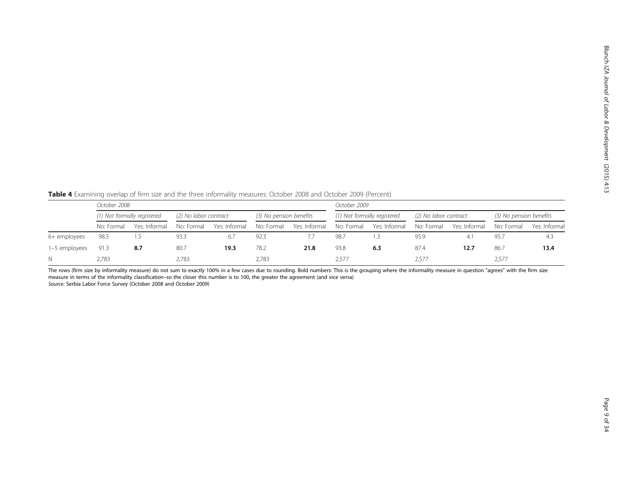<span id="page-8-0"></span>Table 4 Examining overlap of firm size and the three informality measures: October 2008 and October 2009 (Percent)

|               | October 2008 |                             |                       |               |                         |               | October 2009 |                             |                       |               |                         |               |
|---------------|--------------|-----------------------------|-----------------------|---------------|-------------------------|---------------|--------------|-----------------------------|-----------------------|---------------|-------------------------|---------------|
|               |              | (1) Not formally registered | (2) No labor contract |               | (3) No pension benefits |               |              | (1) Not formally registered | (2) No labor contract |               | (3) No pension benefits |               |
|               | No: Formal   | Yes: Informal               | No: Formal            | Yes: Informal | No: Formal              | Yes: Informal | No: Formal   | Yes: Informal               | No: Formal            | Yes: Informal | No: Formal              | Yes: Informal |
| 6+ employees  | 98.5         |                             | 93.3                  | 6.7           | 92.3                    |               | 98.7         |                             | 95.9                  |               | 95.7                    | 4.3           |
| 1-5 employees | 91.3         | 8.7                         | 80.7                  | 19.3          | 78.2                    | 21.8          | 93.8         | 6.3                         | 87.4                  | 12.7          | 86.7                    | 13.4          |
| N.            | 2.783        |                             | 2,783                 |               | 2,783                   |               | 2,577        |                             | 2,577                 |               | 2,577                   |               |

The rows (firm size by informality measure) do not sum to exactly 100% in a few cases due to rounding. Bold numbers: This is the grouping where the informality measure in question "agrees" with the firm size measure in terms of the informality classification–so the closer this number is to 100, the greater the agreement (and vice versa)

Source: Serbia Labor Force Survey (October 2008 and October 2009)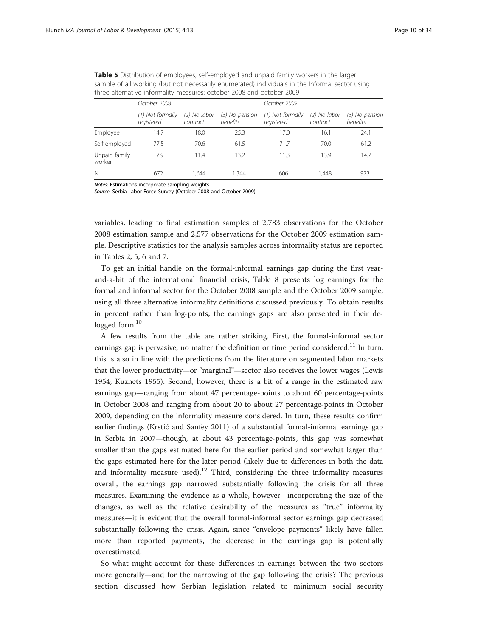|                         | October 2008                   |                          |                            | October 2009                   |                          |                            |  |
|-------------------------|--------------------------------|--------------------------|----------------------------|--------------------------------|--------------------------|----------------------------|--|
|                         | (1) Not formally<br>registered | (2) No labor<br>contract | (3) No pension<br>benefits | (1) Not formally<br>registered | (2) No labor<br>contract | (3) No pension<br>benefits |  |
| Employee                | 14.7                           | 18.0                     | 25.3                       | 17.0                           | 16.1                     | 24.1                       |  |
| Self-employed           | 77.5                           | 70.6                     | 61.5                       | 71.7                           | 70.0                     | 61.2                       |  |
| Unpaid family<br>worker | 7.9                            | 11.4                     | 13.2                       | 11.3                           | 13.9                     | 14.7                       |  |
| N                       | 672                            | 1.644                    | 1.344                      | 606                            | 1.448                    | 973                        |  |

<span id="page-9-0"></span>Table 5 Distribution of employees, self-employed and unpaid family workers in the larger sample of all working (but not necessarily enumerated) individuals in the Informal sector using three alternative informality measures: october 2008 and october 2009

Notes: Estimations incorporate sampling weights

Source: Serbia Labor Force Survey (October 2008 and October 2009)

variables, leading to final estimation samples of 2,783 observations for the October 2008 estimation sample and 2,577 observations for the October 2009 estimation sample. Descriptive statistics for the analysis samples across informality status are reported in Tables [2](#page-6-0), 5, [6](#page-10-0) and [7.](#page-13-0)

To get an initial handle on the formal-informal earnings gap during the first yearand-a-bit of the international financial crisis, Table [8](#page-15-0) presents log earnings for the formal and informal sector for the October 2008 sample and the October 2009 sample, using all three alternative informality definitions discussed previously. To obtain results in percent rather than log-points, the earnings gaps are also presented in their delogged form.<sup>10</sup>

A few results from the table are rather striking. First, the formal-informal sector earnings gap is pervasive, no matter the definition or time period considered.<sup>11</sup> In turn, this is also in line with the predictions from the literature on segmented labor markets that the lower productivity—or "marginal"—sector also receives the lower wages (Lewis [1954](#page-33-0); Kuznets [1955](#page-33-0)). Second, however, there is a bit of a range in the estimated raw earnings gap—ranging from about 47 percentage-points to about 60 percentage-points in October 2008 and ranging from about 20 to about 27 percentage-points in October 2009, depending on the informality measure considered. In turn, these results confirm earlier findings (Krstić and Sanfey [2011\)](#page-33-0) of a substantial formal-informal earnings gap in Serbia in 2007—though, at about 43 percentage-points, this gap was somewhat smaller than the gaps estimated here for the earlier period and somewhat larger than the gaps estimated here for the later period (likely due to differences in both the data and informality measure used).<sup>12</sup> Third, considering the three informality measures overall, the earnings gap narrowed substantially following the crisis for all three measures. Examining the evidence as a whole, however—incorporating the size of the changes, as well as the relative desirability of the measures as "true" informality measures—it is evident that the overall formal-informal sector earnings gap decreased substantially following the crisis. Again, since "envelope payments" likely have fallen more than reported payments, the decrease in the earnings gap is potentially overestimated.

So what might account for these differences in earnings between the two sectors more generally—and for the narrowing of the gap following the crisis? The previous section discussed how Serbian legislation related to minimum social security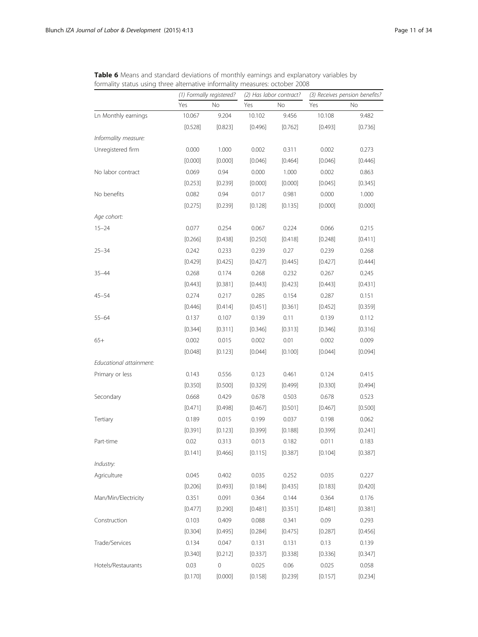|                         |         | (1) Formally registered? |         | (2) Has labor contract? |         | (3) Receives pension benefits? |
|-------------------------|---------|--------------------------|---------|-------------------------|---------|--------------------------------|
|                         | Yes     | No                       | Yes     | No                      | Yes     | No                             |
| Ln Monthly earnings     | 10.067  | 9.204                    | 10.102  | 9.456                   | 10.108  | 9.482                          |
|                         | [0.528] | [0.823]                  | [0.496] | [0.762]                 | [0.493] | [0.736]                        |
| Informality measure:    |         |                          |         |                         |         |                                |
| Unregistered firm       | 0.000   | 1.000                    | 0.002   | 0.311                   | 0.002   | 0.273                          |
|                         | [0.000] | [0.000]                  | [0.046] | [0.464]                 | [0.046] | [0.446]                        |
| No labor contract       | 0.069   | 0.94                     | 0.000   | 1.000                   | 0.002   | 0.863                          |
|                         | [0.253] | [0.239]                  | [0.000] | [0.000]                 | [0.045] | [0.345]                        |
| No benefits             | 0.082   | 0.94                     | 0.017   | 0.981                   | 0.000   | 1.000                          |
|                         | [0.275] | [0.239]                  | [0.128] | [0.135]                 | [0.000] | [0.000]                        |
| Age cohort:             |         |                          |         |                         |         |                                |
| $15 - 24$               | 0.077   | 0.254                    | 0.067   | 0.224                   | 0.066   | 0.215                          |
|                         | [0.266] | [0.438]                  | [0.250] | [0.418]                 | [0.248] | [0.411]                        |
| $25 - 34$               | 0.242   | 0.233                    | 0.239   | 0.27                    | 0.239   | 0.268                          |
|                         | [0.429] | [0.425]                  | [0.427] | [0.445]                 | [0.427] | [0.444]                        |
| $35 - 44$               | 0.268   | 0.174                    | 0.268   | 0.232                   | 0.267   | 0.245                          |
|                         | [0.443] | [0.381]                  | [0.443] | [0.423]                 | [0.443] | [0.431]                        |
| $45 - 54$               | 0.274   | 0.217                    | 0.285   | 0.154                   | 0.287   | 0.151                          |
|                         | [0.446] | [0.414]                  | [0.451] | [0.361]                 | [0.452] | [0.359]                        |
| $55 - 64$               | 0.137   | 0.107                    | 0.139   | 0.11                    | 0.139   | 0.112                          |
|                         | [0.344] | [0.311]                  | [0.346] | [0.313]                 | [0.346] | [0.316]                        |
| $65+$                   | 0.002   | 0.015                    | 0.002   | 0.01                    | 0.002   | 0.009                          |
|                         | [0.048] | [0.123]                  | [0.044] | [0.100]                 | [0.044] | [0.094]                        |
| Educational attainment: |         |                          |         |                         |         |                                |
| Primary or less         | 0.143   | 0.556                    | 0.123   | 0.461                   | 0.124   | 0.415                          |
|                         | [0.350] | [0.500]                  | [0.329] | [0.499]                 | [0.330] | [0.494]                        |
| Secondary               | 0.668   | 0.429                    | 0.678   | 0.503                   | 0.678   | 0.523                          |
|                         | [0.471] | [0.498]                  | [0.467] | [0.501]                 | [0.467] | [0.500]                        |
| Tertiary                | 0.189   | 0.015                    | 0.199   | 0.037                   | 0.198   | 0.062                          |
|                         | [0.391] | [0.123]                  | [0.399] | [0.188]                 | [0.399] | [0.241]                        |
| Part-time               | 0.02    | 0.313                    | 0.013   | 0.182                   | 0.011   | 0.183                          |
|                         | [0.141] | [0.466]                  | [0.115] | [0.387]                 | [0.104] | [0.387]                        |
| Industry:               |         |                          |         |                         |         |                                |
| Agriculture             | 0.045   | 0.402                    | 0.035   | 0.252                   | 0.035   | 0.227                          |
|                         | [0.206] | [0.493]                  | [0.184] | [0.435]                 | [0.183] | [0.420]                        |
| Man/Min/Electricity     | 0.351   | 0.091                    | 0.364   | 0.144                   | 0.364   | 0.176                          |
|                         | [0.477] | [0.290]                  | [0.481] | [0.351]                 | [0.481] | [0.381]                        |
| Construction            | 0.103   | 0.409                    | 0.088   | 0.341                   | 0.09    | 0.293                          |
|                         | [0.304] | [0.495]                  | [0.284] | [0.475]                 | [0.287] | [0.456]                        |
| Trade/Services          | 0.134   | 0.047                    | 0.131   | 0.131                   | 0.13    | 0.139                          |
|                         | [0.340] | [0.212]                  | [0.337] | [0.338]                 | [0.336] | [0.347]                        |
| Hotels/Restaurants      | 0.03    | 0                        | 0.025   | 0.06                    | 0.025   | 0.058                          |
|                         | [0.170] | [0.000]                  | [0.158] | [0.239]                 | [0.157] | [0.234]                        |

<span id="page-10-0"></span>Table 6 Means and standard deviations of monthly earnings and explanatory variables by formality status using three alternative informality measures: october 2008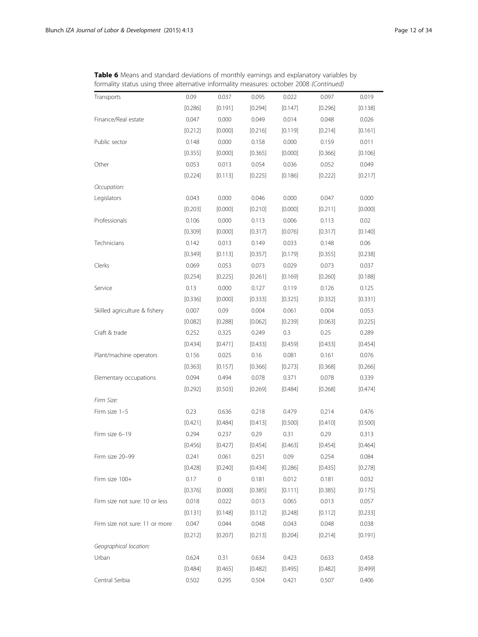Table 6 Means and standard deviations of monthly earnings and explanatory variables by formality status using three alternative informality measures: october 2008 (Continued)

| Transports                     | 0.09    | 0.037   | 0.095   | 0.022     | 0.097   | 0.019   |
|--------------------------------|---------|---------|---------|-----------|---------|---------|
|                                | [0.286] | [0.191] | [0.294] | [0.147]   | [0.296] | [0.138] |
| Finance/Real estate            | 0.047   | 0.000   | 0.049   | 0.014     | 0.048   | 0.026   |
|                                | [0.212] | [0.000] | [0.216] | [0.119]   | [0.214] | [0.161] |
| Public sector                  | 0.148   | 0.000   | 0.158   | 0.000     | 0.159   | 0.011   |
|                                | [0.355] | [0.000] | [0.365] | [0.000]   | [0.366] | [0.106] |
| Other                          | 0.053   | 0.013   | 0.054   | 0.036     | 0.052   | 0.049   |
|                                | [0.224] | [0.113] | [0.225] | [0.186]   | [0.222] | [0.217] |
| Occupation:                    |         |         |         |           |         |         |
| Legislators                    | 0.043   | 0.000   | 0.046   | 0.000     | 0.047   | 0.000   |
|                                | [0.203] | [0.000] | [0.210] | [0.000]   | [0.211] | [0.000] |
| Professionals                  | 0.106   | 0.000   | 0.113   | 0.006     | 0.113   | 0.02    |
|                                | [0.309] | [0.000] | [0.317] | [0.076]   | [0.317] | [0.140] |
| Technicians                    | 0.142   | 0.013   | 0.149   | 0.033     | 0.148   | 0.06    |
|                                | [0.349] | [0.113] | [0.357] | [0.179]   | [0.355] | [0.238] |
| Clerks                         | 0.069   | 0.053   | 0.073   | 0.029     | 0.073   | 0.037   |
|                                | [0.254] | [0.225] | [0.261] | [0.169]   | [0.260] | [0.188] |
| Service                        | 0.13    | 0.000   | 0.127   | 0.119     | 0.126   | 0.125   |
|                                | [0.336] | [0.000] | [0.333] | [0.325]   | [0.332] | [0.331] |
| Skilled agriculture & fishery  | 0.007   | 0.09    | 0.004   | 0.061     | 0.004   | 0.053   |
|                                | [0.082] | [0.288] | [0.062] | [0.239]   | [0.063] | [0.225] |
| Craft & trade                  | 0.252   | 0.325   | 0.249   | 0.3       | 0.25    | 0.289   |
|                                | [0.434] | [0.471] | [0.433] | [0.459]   | [0.433] | [0.454] |
| Plant/machine operators        | 0.156   | 0.025   | 0.16    | 0.081     | 0.161   | 0.076   |
|                                | [0.363] | [0.157] | [0.366] | [0.273]   | [0.368] | [0.266] |
| Elementary occupations         | 0.094   | 0.494   | 0.078   | 0.371     | 0.078   | 0.339   |
|                                | [0.292] | [0.503] | [0.269] | [0.484]   | [0.268] | [0.474] |
| Firm Size:                     |         |         |         |           |         |         |
| Firm size 1-5                  | 0.23    | 0.636   | 0.218   | 0.479     | 0.214   | 0.476   |
|                                | [0.421] | [0.484] | [0.413] | $[0.500]$ | [0.410] | [0.500] |
| Firm size 6-19                 | 0.294   | 0.237   | 0.29    | 0.31      | 0.29    | 0.313   |
|                                | [0.456] | [0.427] | [0.454] | [0.463]   | [0.454] | [0.464] |
| Firm size 20-99                | 0.241   | 0.061   | 0.251   | 0.09      | 0.254   | 0.084   |
|                                | [0.428] | [0.240] | [0.434] | [0.286]   | [0.435] | [0.278] |
| Firm size 100+                 | 0.17    | 0       | 0.181   | 0.012     | 0.181   | 0.032   |
|                                | [0.376] | [0.000] | [0.385] | [0.111]   | [0.385] | [0.175] |
| Firm size not sure: 10 or less | 0.018   | 0.022   | 0.013   | 0.065     | 0.013   | 0.057   |
|                                | [0.131] | [0.148] | [0.112] | [0.248]   | [0.112] | [0.233] |
| Firm size not sure: 11 or more | 0.047   | 0.044   | 0.048   | 0.043     | 0.048   | 0.038   |
|                                | [0.212] | [0.207] | [0.213] | [0.204]   | [0.214] | [0.191] |
| Geographical location:         |         |         |         |           |         |         |
| Urban                          | 0.624   | 0.31    | 0.634   | 0.423     | 0.633   | 0.458   |
|                                | [0.484] | [0.465] | [0.482] | [0.495]   | [0.482] | [0.499] |
| Central Serbia                 | 0.502   | 0.295   | 0.504   | 0.421     | 0.507   | 0.406   |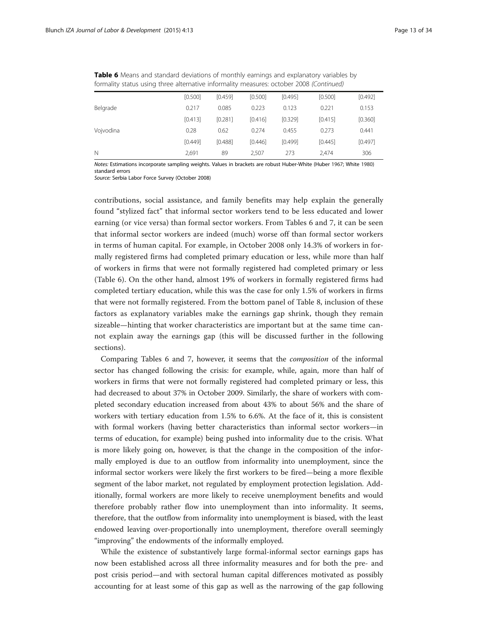| formality status using three alternative informality measures: october 2008 (Continued) |         |         |         |         |         |         |  |
|-----------------------------------------------------------------------------------------|---------|---------|---------|---------|---------|---------|--|
|                                                                                         | [0.500] | [0.459] | [0.500] | [0.495] | [0.500] | [0.492] |  |
| Belgrade                                                                                | 0.217   | 0.085   | 0.223   | 0.123   | 0.221   | 0.153   |  |
|                                                                                         | [0.413] | [0.281] | [0.416] | [0.329] | [0.415] | [0.360] |  |
| Vojvodina                                                                               | 0.28    | 0.62    | 0.274   | 0.455   | 0.273   | 0.441   |  |
|                                                                                         | [0.449] | [0.488] | [0.446] | [0.499] | [0.445] | [0.497] |  |
| N                                                                                       | 2.691   | 89      | 2.507   | 273     | 2.474   | 306     |  |

Table 6 Means and standard deviations of monthly earnings and explanatory variables by formality status using three alternative informality measures: october 2008 (Continued)

Notes: Estimations incorporate sampling weights. Values in brackets are robust Huber-White (Huber [1967](#page-32-0); White [1980\)](#page-33-0) standard errors

Source: Serbia Labor Force Survey (October 2008)

contributions, social assistance, and family benefits may help explain the generally found "stylized fact" that informal sector workers tend to be less educated and lower earning (or vice versa) than formal sector workers. From Tables [6](#page-10-0) and [7,](#page-13-0) it can be seen that informal sector workers are indeed (much) worse off than formal sector workers in terms of human capital. For example, in October 2008 only 14.3% of workers in formally registered firms had completed primary education or less, while more than half of workers in firms that were not formally registered had completed primary or less (Table [6\)](#page-10-0). On the other hand, almost 19% of workers in formally registered firms had completed tertiary education, while this was the case for only 1.5% of workers in firms that were not formally registered. From the bottom panel of Table [8,](#page-15-0) inclusion of these factors as explanatory variables make the earnings gap shrink, though they remain sizeable—hinting that worker characteristics are important but at the same time cannot explain away the earnings gap (this will be discussed further in the following sections).

Comparing Tables [6](#page-10-0) and [7,](#page-13-0) however, it seems that the composition of the informal sector has changed following the crisis: for example, while, again, more than half of workers in firms that were not formally registered had completed primary or less, this had decreased to about 37% in October 2009. Similarly, the share of workers with completed secondary education increased from about 43% to about 56% and the share of workers with tertiary education from 1.5% to 6.6%. At the face of it, this is consistent with formal workers (having better characteristics than informal sector workers—in terms of education, for example) being pushed into informality due to the crisis. What is more likely going on, however, is that the change in the composition of the informally employed is due to an outflow from informality into unemployment, since the informal sector workers were likely the first workers to be fired—being a more flexible segment of the labor market, not regulated by employment protection legislation. Additionally, formal workers are more likely to receive unemployment benefits and would therefore probably rather flow into unemployment than into informality. It seems, therefore, that the outflow from informality into unemployment is biased, with the least endowed leaving over-proportionally into unemployment, therefore overall seemingly "improving" the endowments of the informally employed.

While the existence of substantively large formal-informal sector earnings gaps has now been established across all three informality measures and for both the pre- and post crisis period—and with sectoral human capital differences motivated as possibly accounting for at least some of this gap as well as the narrowing of the gap following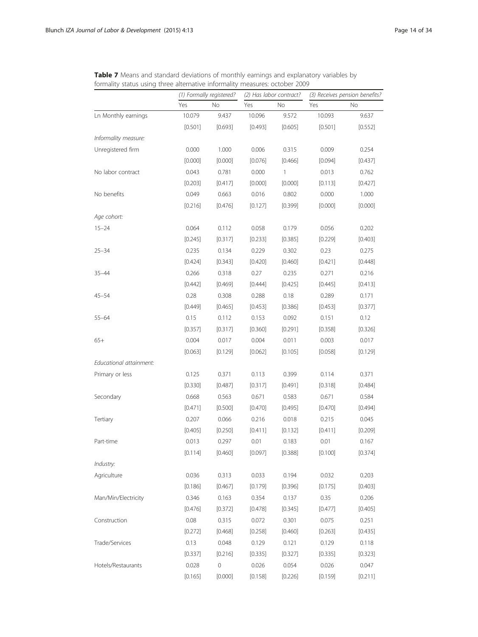|                         |           | (1) Formally registered? | (2) Has labor contract? |         | (3) Receives pension benefits? |           |
|-------------------------|-----------|--------------------------|-------------------------|---------|--------------------------------|-----------|
|                         | Yes       | No                       | Yes                     | No      | Yes                            | No        |
| Ln Monthly earnings     | 10.079    | 9.437                    | 10.096                  | 9.572   | 10.093                         | 9.637     |
|                         | [0.501]   | [0.693]                  | [0.493]                 | [0.605] | [0.501]                        | $[0.552]$ |
| Informality measure:    |           |                          |                         |         |                                |           |
| Unregistered firm       | 0.000     | 1.000                    | 0.006                   | 0.315   | 0.009                          | 0.254     |
|                         | [0.000]   | [0.000]                  | [0.076]                 | [0.466] | [0.094]                        | [0.437]   |
| No labor contract       | 0.043     | 0.781                    | 0.000                   | 1       | 0.013                          | 0.762     |
|                         | [0.203]   | [0.417]                  | [0.000]                 | [0.000] | [0.113]                        | [0.427]   |
| No benefits             | 0.049     | 0.663                    | 0.016                   | 0.802   | 0.000                          | 1.000     |
|                         | [0.216]   | [0.476]                  | [0.127]                 | [0.399] | [0.000]                        | [0.000]   |
| Age cohort:             |           |                          |                         |         |                                |           |
| $15 - 24$               | 0.064     | 0.112                    | 0.058                   | 0.179   | 0.056                          | 0.202     |
|                         | [0.245]   | [0.317]                  | [0.233]                 | [0.385] | [0.229]                        | [0.403]   |
| $25 - 34$               | 0.235     | 0.134                    | 0.229                   | 0.302   | 0.23                           | 0.275     |
|                         | [0.424]   | [0.343]                  | [0.420]                 | [0.460] | [0.421]                        | [0.448]   |
| $35 - 44$               | 0.266     | 0.318                    | 0.27                    | 0.235   | 0.271                          | 0.216     |
|                         | [0.442]   | [0.469]                  | [0.444]                 | [0.425] | [0.445]                        | [0.413]   |
| $45 - 54$               | 0.28      | 0.308                    | 0.288                   | 0.18    | 0.289                          | 0.171     |
|                         | $[0.449]$ | [0.465]                  | [0.453]                 | [0.386] | [0.453]                        | [0.377]   |
| $55 - 64$               | 0.15      | 0.112                    | 0.153                   | 0.092   | 0.151                          | 0.12      |
|                         | [0.357]   | [0.317]                  | [0.360]                 | [0.291] | [0.358]                        | [0.326]   |
| $65+$                   | 0.004     | 0.017                    | 0.004                   | 0.011   | 0.003                          | 0.017     |
|                         | [0.063]   | [0.129]                  | [0.062]                 | [0.105] | [0.058]                        | [0.129]   |
| Educational attainment: |           |                          |                         |         |                                |           |
| Primary or less         | 0.125     | 0.371                    | 0.113                   | 0.399   | 0.114                          | 0.371     |
|                         | [0.330]   | [0.487]                  | [0.317]                 | [0.491] | [0.318]                        | [0.484]   |
| Secondary               | 0.668     | 0.563                    | 0.671                   | 0.583   | 0.671                          | 0.584     |
|                         | [0.471]   | [0.500]                  | [0.470]                 | [0.495] | [0.470]                        | [0.494]   |
| Tertiary                | 0.207     | 0.066                    | 0.216                   | 0.018   | 0.215                          | 0.045     |
|                         | [0.405]   | [0.250]                  | [0.411]                 | [0.132] | [0.411]                        | [0.209]   |
| Part-time               | 0.013     | 0.297                    | 0.01                    | 0.183   | 0.01                           | 0.167     |
|                         | [0.114]   | [0.460]                  | [0.097]                 | [0.388] | [0.100]                        | [0.374]   |
| Industry:               |           |                          |                         |         |                                |           |
| Agriculture             | 0.036     | 0.313                    | 0.033                   | 0.194   | 0.032                          | 0.203     |
|                         | [0.186]   | [0.467]                  | [0.179]                 | [0.396] | [0.175]                        | [0.403]   |
| Man/Min/Electricity     | 0.346     | 0.163                    | 0.354                   | 0.137   | 0.35                           | 0.206     |
|                         | [0.476]   | [0.372]                  | [0.478]                 | [0.345] | [0.477]                        | [0.405]   |
| Construction            | 0.08      | 0.315                    | 0.072                   | 0.301   | 0.075                          | 0.251     |
|                         | [0.272]   | [0.468]                  | [0.258]                 | [0.460] | [0.263]                        | [0.435]   |
| Trade/Services          | 0.13      | 0.048                    | 0.129                   | 0.121   | 0.129                          | 0.118     |
|                         | [0.337]   | [0.216]                  | [0.335]                 | [0.327] | [0.335]                        | [0.323]   |
| Hotels/Restaurants      | 0.028     | 0                        | 0.026                   | 0.054   | 0.026                          | 0.047     |
|                         | [0.165]   | [0.000]                  | [0.158]                 | [0.226] | [0.159]                        | [0.211]   |

<span id="page-13-0"></span>Table 7 Means and standard deviations of monthly earnings and explanatory variables by formality status using three alternative informality measures: october 2009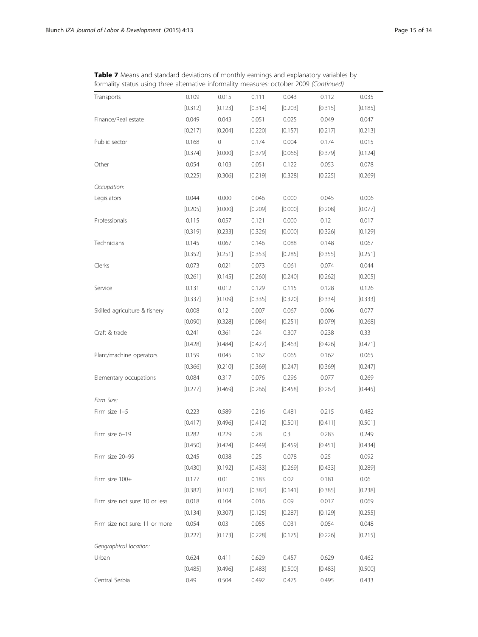Table 7 Means and standard deviations of monthly earnings and explanatory variables by formality status using three alternative informality measures: october 2009 (Continued)

| Transports                     | 0.109   | 0.015   | 0.111   | 0.043   | 0.112   | 0.035   |
|--------------------------------|---------|---------|---------|---------|---------|---------|
|                                | [0.312] | [0.123] | [0.314] | [0.203] | [0.315] | [0.185] |
| Finance/Real estate            | 0.049   | 0.043   | 0.051   | 0.025   | 0.049   | 0.047   |
|                                | [0.217] | [0.204] | [0.220] | [0.157] | [0.217] | [0.213] |
| Public sector                  | 0.168   | 0       | 0.174   | 0.004   | 0.174   | 0.015   |
|                                | [0.374] | [0.000] | [0.379] | [0.066] | [0.379] | [0.124] |
| Other                          | 0.054   | 0.103   | 0.051   | 0.122   | 0.053   | 0.078   |
|                                | [0.225] | [0.306] | [0.219] | [0.328] | [0.225] | [0.269] |
| Occupation:                    |         |         |         |         |         |         |
| Legislators                    | 0.044   | 0.000   | 0.046   | 0.000   | 0.045   | 0.006   |
|                                | [0.205] | [0.000] | [0.209] | [0.000] | [0.208] | [0.077] |
| Professionals                  | 0.115   | 0.057   | 0.121   | 0.000   | 0.12    | 0.017   |
|                                | [0.319] | [0.233] | [0.326] | [0.000] | [0.326] | [0.129] |
| Technicians                    | 0.145   | 0.067   | 0.146   | 0.088   | 0.148   | 0.067   |
|                                | [0.352] | [0.251] | [0.353] | [0.285] | [0.355] | [0.251] |
| Clerks                         | 0.073   | 0.021   | 0.073   | 0.061   | 0.074   | 0.044   |
|                                | [0.261] | [0.145] | [0.260] | [0.240] | [0.262] | [0.205] |
| Service                        | 0.131   | 0.012   | 0.129   | 0.115   | 0.128   | 0.126   |
|                                | [0.337] | [0.109] | [0.335] | [0.320] | [0.334] | [0.333] |
| Skilled agriculture & fishery  | 0.008   | 0.12    | 0.007   | 0.067   | 0.006   | 0.077   |
|                                | [0.090] | [0.328] | [0.084] | [0.251] | [0.079] | [0.268] |
| Craft & trade                  | 0.241   | 0.361   | 0.24    | 0.307   | 0.238   | 0.33    |
|                                | [0.428] | [0.484] | [0.427] | [0.463] | [0.426] | [0.471] |
| Plant/machine operators        | 0.159   | 0.045   | 0.162   | 0.065   | 0.162   | 0.065   |
|                                | [0.366] | [0.210] | [0.369] | [0.247] | [0.369] | [0.247] |
| Elementary occupations         | 0.084   | 0.317   | 0.076   | 0.296   | 0.077   | 0.269   |
|                                | [0.277] | [0.469] | [0.266] | [0.458] | [0.267] | [0.445] |
| Firm Size:                     |         |         |         |         |         |         |
| Firm size 1-5                  | 0.223   | 0.589   | 0.216   | 0.481   | 0.215   | 0.482   |
|                                | [0.417] | [0.496] | [0.412] | [0.501] | [0.411] | [0.501] |
| Firm size 6-19                 | 0.282   | 0.229   | 0.28    | 0.3     | 0.283   | 0.249   |
|                                | [0.450] | [0.424] | [0.449] | [0.459] | [0.451] | [0.434] |
| Firm size 20-99                | 0.245   | 0.038   | 0.25    | 0.078   | 0.25    | 0.092   |
|                                | [0.430] | [0.192] | [0.433] | [0.269] | [0.433] | [0.289] |
| Firm size 100+                 | 0.177   | 0.01    | 0.183   | 0.02    | 0.181   | 0.06    |
|                                | [0.382] | [0.102] | [0.387] | [0.141] | [0.385] | [0.238] |
| Firm size not sure: 10 or less | 0.018   | 0.104   | 0.016   | 0.09    | 0.017   | 0.069   |
|                                | [0.134] | [0.307] | [0.125] | [0.287] | [0.129] | [0.255] |
| Firm size not sure: 11 or more | 0.054   | 0.03    | 0.055   | 0.031   | 0.054   | 0.048   |
|                                | [0.227] | [0.173] | [0.228] | [0.175] | [0.226] | [0.215] |
| Geographical location:         |         |         |         |         |         |         |
| Urban                          | 0.624   | 0.411   | 0.629   | 0.457   | 0.629   | 0.462   |
|                                | [0.485] | [0.496] | [0.483] | [0.500] | [0.483] | [0.500] |
| Central Serbia                 | 0.49    | 0.504   | 0.492   | 0.475   | 0.495   | 0.433   |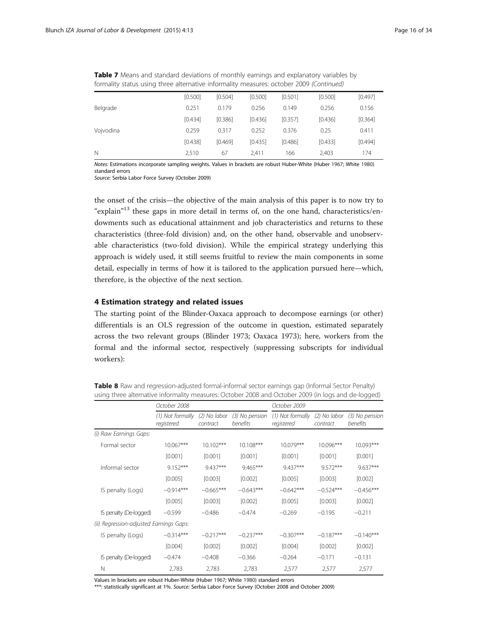|           | [0.500] | [0.504] | [0.500] | [0.501] | [0.500] | [0.497] |
|-----------|---------|---------|---------|---------|---------|---------|
| Belgrade  | 0.251   | 0.179   | 0.256   | 0.149   | 0.256   | 0.156   |
|           | [0.434] | [0.386] | [0.436] | [0.357] | [0.436] | [0.364] |
| Vojvodina | 0.259   | 0.317   | 0.252   | 0.376   | 0.25    | 0.411   |
|           | [0.438] | [0.469] | [0.435] | [0.486] | [0.433] | [0.494] |
| N         | 2,510   | 67      | 2.411   | 166     | 2,403   | 174     |

<span id="page-15-0"></span>Table 7 Means and standard deviations of monthly earnings and explanatory variables by formality status using three alternative informality measures: october 2009 (Continued)

Notes: Estimations incorporate sampling weights. Values in brackets are robust Huber-White (Huber [1967](#page-32-0); White [1980\)](#page-33-0) standard errors

Source: Serbia Labor Force Survey (October 2009)

the onset of the crisis—the objective of the main analysis of this paper is to now try to "explain"<sup>13</sup> these gaps in more detail in terms of, on the one hand, characteristics/endowments such as educational attainment and job characteristics and returns to these characteristics (three-fold division) and, on the other hand, observable and unobservable characteristics (two-fold division). While the empirical strategy underlying this approach is widely used, it still seems fruitful to review the main components in some detail, especially in terms of how it is tailored to the application pursued here—which, therefore, is the objective of the next section.

# 4 Estimation strategy and related issues

The starting point of the Blinder-Oaxaca approach to decompose earnings (or other) differentials is an OLS regression of the outcome in question, estimated separately across the two relevant groups (Blinder [1973](#page-32-0); Oaxaca [1973](#page-33-0)); here, workers from the formal and the informal sector, respectively (suppressing subscripts for individual workers):

| ╯                                       |                                |                          |                            |                                |                          | .                          |
|-----------------------------------------|--------------------------------|--------------------------|----------------------------|--------------------------------|--------------------------|----------------------------|
|                                         | October 2008                   |                          |                            | October 2009                   |                          |                            |
|                                         | (1) Not formally<br>registered | (2) No labor<br>contract | (3) No pension<br>benefits | (1) Not formally<br>registered | (2) No labor<br>contract | (3) No pension<br>benefits |
| (i) Raw Earnings Gaps:                  |                                |                          |                            |                                |                          |                            |
| Formal sector                           | $10.067***$                    | $10.102***$              | $10.108***$                | $10.079***$                    | $10.096***$              | $10.093***$                |
|                                         | [0.001]                        | [0.001]                  | [0.001]                    | [0.001]                        | [0.001]                  | [0.001]                    |
| Informal sector                         | $9.152***$                     | $9.437***$               | $9.465***$                 | $9.437***$                     | 9.572***                 | $9.637***$                 |
|                                         | [0.005]                        | [0.003]                  | [0.002]                    | [0.005]                        | [0.003]                  | [0.002]                    |
| IS penalty (Logs)                       | $-0.914***$                    | $-0.665***$              | $-0.643***$                | $-0.642***$                    | $-0.524***$              | $-0.456***$                |
|                                         | [0.005]                        | [0.003]                  | [0.002]                    | [0.005]                        | [0.003]                  | [0.002]                    |
| IS penalty (De-logged)                  | $-0.599$                       | $-0.486$                 | $-0.474$                   | $-0.269$                       | $-0.195$                 | $-0.211$                   |
| (ii) Regression-adjusted Earnings Gaps: |                                |                          |                            |                                |                          |                            |
| IS penalty (Logs)                       | $-0.314***$                    | $-0.217***$              | $-0.237***$                | $-0.307***$                    | $-0.187***$              | $-0.140***$                |
|                                         | [0.004]                        | [0.002]                  | [0.002]                    | [0.004]                        | [0.002]                  | [0.002]                    |
| IS penalty (De-logged)                  | $-0.474$                       | $-0.408$                 | $-0.366$                   | $-0.264$                       | $-0.171$                 | $-0.131$                   |
| $\mathbb N$                             | 2,783                          | 2,783                    | 2,783                      | 2,577                          | 2,577                    | 2,577                      |

Table 8 Raw and regression-adjusted formal-informal sector earnings gap (Informal Sector Penalty) using three alternative informality measures: October 2008 and October 2009 (in logs and de-logged)

Values in brackets are robust Huber-White (Huber [1967;](#page-32-0) White [1980\)](#page-33-0) standard errors

\*\*\*: statistically significant at 1%. Source: Serbia Labor Force Survey (October 2008 and October 2009)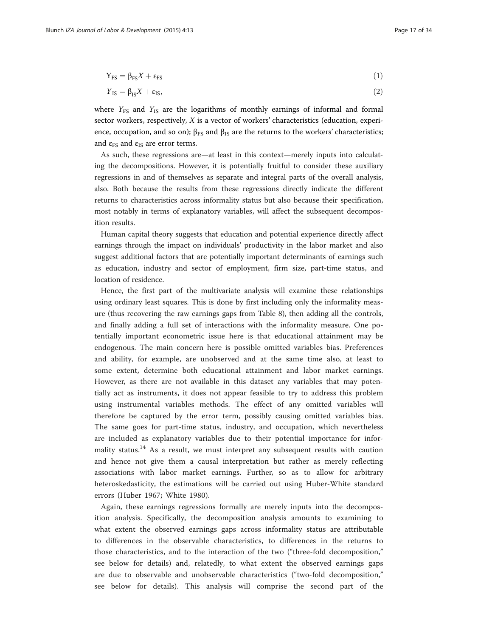<span id="page-16-0"></span>
$$
Y_{FS} = \beta_{FS} X + \varepsilon_{FS} \tag{1}
$$

$$
Y_{\rm IS} = \beta_{\rm IS} X + \varepsilon_{\rm IS},\tag{2}
$$

where  $Y_{FS}$  and  $Y_{IS}$  are the logarithms of monthly earnings of informal and formal sector workers, respectively, X is a vector of workers' characteristics (education, experience, occupation, and so on);  $\beta_{FS}$  and  $\beta_{IS}$  are the returns to the workers' characteristics; and  $\epsilon_{FS}$  and  $\epsilon_{IS}$  are error terms.

As such, these regressions are—at least in this context—merely inputs into calculating the decompositions. However, it is potentially fruitful to consider these auxiliary regressions in and of themselves as separate and integral parts of the overall analysis, also. Both because the results from these regressions directly indicate the different returns to characteristics across informality status but also because their specification, most notably in terms of explanatory variables, will affect the subsequent decomposition results.

Human capital theory suggests that education and potential experience directly affect earnings through the impact on individuals' productivity in the labor market and also suggest additional factors that are potentially important determinants of earnings such as education, industry and sector of employment, firm size, part-time status, and location of residence.

Hence, the first part of the multivariate analysis will examine these relationships using ordinary least squares. This is done by first including only the informality measure (thus recovering the raw earnings gaps from Table [8\)](#page-15-0), then adding all the controls, and finally adding a full set of interactions with the informality measure. One potentially important econometric issue here is that educational attainment may be endogenous. The main concern here is possible omitted variables bias. Preferences and ability, for example, are unobserved and at the same time also, at least to some extent, determine both educational attainment and labor market earnings. However, as there are not available in this dataset any variables that may potentially act as instruments, it does not appear feasible to try to address this problem using instrumental variables methods. The effect of any omitted variables will therefore be captured by the error term, possibly causing omitted variables bias. The same goes for part-time status, industry, and occupation, which nevertheless are included as explanatory variables due to their potential importance for informality status.<sup>14</sup> As a result, we must interpret any subsequent results with caution and hence not give them a causal interpretation but rather as merely reflecting associations with labor market earnings. Further, so as to allow for arbitrary heteroskedasticity, the estimations will be carried out using Huber-White standard errors (Huber [1967](#page-32-0); White [1980](#page-33-0)).

Again, these earnings regressions formally are merely inputs into the decomposition analysis. Specifically, the decomposition analysis amounts to examining to what extent the observed earnings gaps across informality status are attributable to differences in the observable characteristics, to differences in the returns to those characteristics, and to the interaction of the two ("three-fold decomposition," see below for details) and, relatedly, to what extent the observed earnings gaps are due to observable and unobservable characteristics ("two-fold decomposition," see below for details). This analysis will comprise the second part of the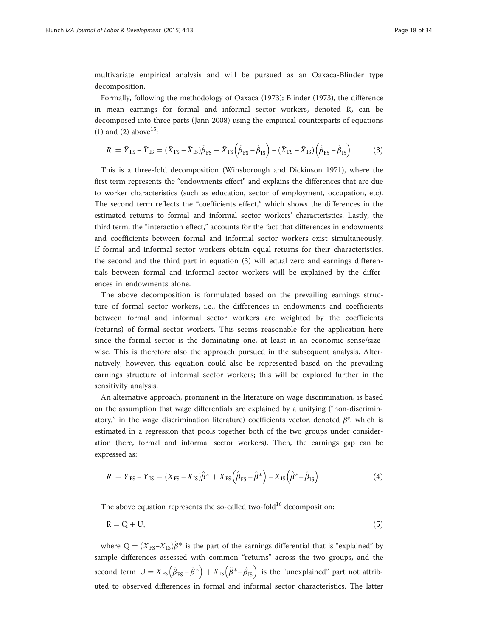<span id="page-17-0"></span>multivariate empirical analysis and will be pursued as an Oaxaca-Blinder type decomposition.

Formally, following the methodology of Oaxaca ([1973](#page-33-0)); Blinder [\(1973\)](#page-32-0), the difference in mean earnings for formal and informal sector workers, denoted R, can be decomposed into three parts (Jann [2008\)](#page-32-0) using the empirical counterparts of equations ([1\)](#page-16-0) and ([2\)](#page-16-0) above<sup>15</sup>:

$$
R = \bar{Y}_{\text{FS}} - \bar{Y}_{\text{IS}} = (\bar{X}_{\text{FS}} - \bar{X}_{\text{IS}})\hat{\beta}_{\text{FS}} + \bar{X}_{\text{FS}}(\hat{\beta}_{\text{FS}} - \hat{\beta}_{\text{IS}}) - (\bar{X}_{\text{FS}} - \bar{X}_{\text{IS}})(\hat{\beta}_{\text{FS}} - \hat{\beta}_{\text{IS}})
$$
(3)

This is a three-fold decomposition (Winsborough and Dickinson [1971\)](#page-33-0), where the first term represents the "endowments effect" and explains the differences that are due to worker characteristics (such as education, sector of employment, occupation, etc). The second term reflects the "coefficients effect," which shows the differences in the estimated returns to formal and informal sector workers' characteristics. Lastly, the third term, the "interaction effect," accounts for the fact that differences in endowments and coefficients between formal and informal sector workers exist simultaneously. If formal and informal sector workers obtain equal returns for their characteristics, the second and the third part in equation (3) will equal zero and earnings differentials between formal and informal sector workers will be explained by the differences in endowments alone.

The above decomposition is formulated based on the prevailing earnings structure of formal sector workers, i.e., the differences in endowments and coefficients between formal and informal sector workers are weighted by the coefficients (returns) of formal sector workers. This seems reasonable for the application here since the formal sector is the dominating one, at least in an economic sense/sizewise. This is therefore also the approach pursued in the subsequent analysis. Alternatively, however, this equation could also be represented based on the prevailing earnings structure of informal sector workers; this will be explored further in the sensitivity analysis.

An alternative approach, prominent in the literature on wage discrimination, is based on the assumption that wage differentials are explained by a unifying ("non-discriminatory," in the wage discrimination literature) coefficients vector, denoted  $\beta^*$ , which is estimated in a regression that pools together both of the two groups under consideration (here, formal and informal sector workers). Then, the earnings gap can be expressed as:

$$
R = \bar{Y}_{\text{FS}} - \bar{Y}_{\text{IS}} = (\bar{X}_{\text{FS}} - \bar{X}_{\text{IS}})\hat{\beta}^* + \bar{X}_{\text{FS}}(\hat{\beta}_{\text{FS}} - \hat{\beta}^*) - \bar{X}_{\text{IS}}(\hat{\beta}^* - \hat{\beta}_{\text{IS}})
$$
(4)

The above equation represents the so-called two-fold<sup>16</sup> decomposition:

$$
R = Q + U,\tag{5}
$$

where  $Q = (\bar{X}_{FS} - \bar{X}_{IS})\hat{\beta}^*$  is the part of the earnings differential that is "explained" by sample differences assessed with common "returns" across the two groups, and the second term  $\mathbf{U} = \bar{X}_{\text{FS}} \Big(\hat{\beta}_{\text{FS}} - \hat{\beta}^* \Big) + \bar{X}_{\text{IS}} \Big(\hat{\beta}^* - \hat{\beta}_{\text{IS}} \Big)$  is the "unexplained" part not attributed to observed differences in formal and informal sector characteristics. The latter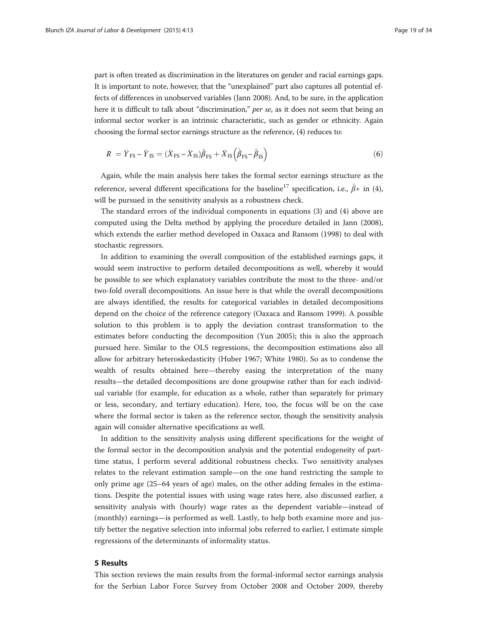<span id="page-18-0"></span>part is often treated as discrimination in the literatures on gender and racial earnings gaps. It is important to note, however, that the "unexplained" part also captures all potential effects of differences in unobserved variables (Jann [2008](#page-32-0)). And, to be sure, in the application here it is difficult to talk about "discrimination," per se, as it does not seem that being an informal sector worker is an intrinsic characteristic, such as gender or ethnicity. Again choosing the formal sector earnings structure as the reference, (4) reduces to:

$$
R = \bar{Y}_{\text{FS}} - \bar{Y}_{\text{IS}} = (\bar{X}_{\text{FS}} - \bar{X}_{\text{IS}})\hat{\beta}_{\text{FS}} + \bar{X}_{\text{IS}}(\hat{\beta}_{\text{FS}} - \hat{\beta}_{\text{IS}})
$$
(6)

Again, while the main analysis here takes the formal sector earnings structure as the reference, several different specifications for the baseline<sup>17</sup> specification, i.e.,  $\hat{\beta}$ \* in [\(4](#page-17-0)), will be pursued in the sensitivity analysis as a robustness check.

The standard errors of the individual components in equations ([3\)](#page-17-0) and ([4\)](#page-17-0) above are computed using the Delta method by applying the procedure detailed in Jann ([2008](#page-32-0)), which extends the earlier method developed in Oaxaca and Ransom [\(1998\)](#page-33-0) to deal with stochastic regressors.

In addition to examining the overall composition of the established earnings gaps, it would seem instructive to perform detailed decompositions as well, whereby it would be possible to see which explanatory variables contribute the most to the three- and/or two-fold overall decompositions. An issue here is that while the overall decompositions are always identified, the results for categorical variables in detailed decompositions depend on the choice of the reference category (Oaxaca and Ransom [1999](#page-33-0)). A possible solution to this problem is to apply the deviation contrast transformation to the estimates before conducting the decomposition (Yun [2005](#page-33-0)); this is also the approach pursued here. Similar to the OLS regressions, the decomposition estimations also all allow for arbitrary heteroskedasticity (Huber [1967](#page-32-0); White [1980\)](#page-33-0). So as to condense the wealth of results obtained here—thereby easing the interpretation of the many results—the detailed decompositions are done groupwise rather than for each individual variable (for example, for education as a whole, rather than separately for primary or less, secondary, and tertiary education). Here, too, the focus will be on the case where the formal sector is taken as the reference sector, though the sensitivity analysis again will consider alternative specifications as well.

In addition to the sensitivity analysis using different specifications for the weight of the formal sector in the decomposition analysis and the potential endogeneity of parttime status, I perform several additional robustness checks. Two sensitivity analyses relates to the relevant estimation sample—on the one hand restricting the sample to only prime age (25–64 years of age) males, on the other adding females in the estimations. Despite the potential issues with using wage rates here, also discussed earlier, a sensitivity analysis with (hourly) wage rates as the dependent variable—instead of (monthly) earnings—is performed as well. Lastly, to help both examine more and justify better the negative selection into informal jobs referred to earlier, I estimate simple regressions of the determinants of informality status.

# 5 Results

This section reviews the main results from the formal-informal sector earnings analysis for the Serbian Labor Force Survey from October 2008 and October 2009, thereby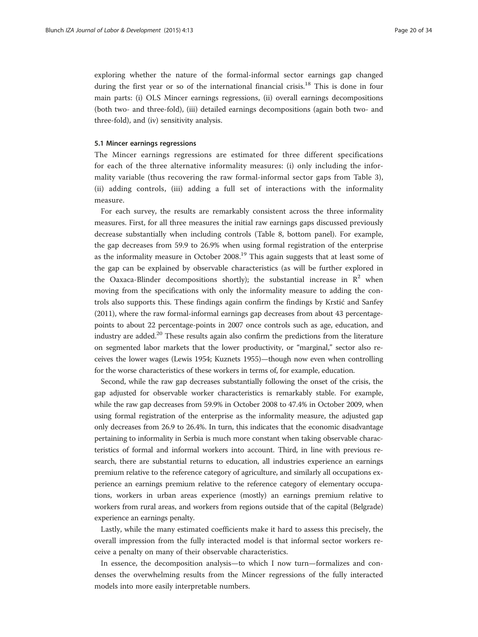exploring whether the nature of the formal-informal sector earnings gap changed during the first year or so of the international financial crisis.<sup>18</sup> This is done in four main parts: (i) OLS Mincer earnings regressions, (ii) overall earnings decompositions (both two- and three-fold), (iii) detailed earnings decompositions (again both two- and three-fold), and (iv) sensitivity analysis.

### 5.1 Mincer earnings regressions

The Mincer earnings regressions are estimated for three different specifications for each of the three alternative informality measures: (i) only including the informality variable (thus recovering the raw formal-informal sector gaps from Table [3](#page-7-0)), (ii) adding controls, (iii) adding a full set of interactions with the informality measure.

For each survey, the results are remarkably consistent across the three informality measures. First, for all three measures the initial raw earnings gaps discussed previously decrease substantially when including controls (Table [8,](#page-15-0) bottom panel). For example, the gap decreases from 59.9 to 26.9% when using formal registration of the enterprise as the informality measure in October 2008.<sup>19</sup> This again suggests that at least some of the gap can be explained by observable characteristics (as will be further explored in the Oaxaca-Blinder decompositions shortly); the substantial increase in  $\mathbb{R}^2$  when moving from the specifications with only the informality measure to adding the controls also supports this. These findings again confirm the findings by Krstić and Sanfey ([2011\)](#page-33-0), where the raw formal-informal earnings gap decreases from about 43 percentagepoints to about 22 percentage-points in 2007 once controls such as age, education, and industry are added.<sup>20</sup> These results again also confirm the predictions from the literature on segmented labor markets that the lower productivity, or "marginal," sector also receives the lower wages (Lewis [1954;](#page-33-0) Kuznets [1955](#page-33-0))—though now even when controlling for the worse characteristics of these workers in terms of, for example, education.

Second, while the raw gap decreases substantially following the onset of the crisis, the gap adjusted for observable worker characteristics is remarkably stable. For example, while the raw gap decreases from 59.9% in October 2008 to 47.4% in October 2009, when using formal registration of the enterprise as the informality measure, the adjusted gap only decreases from 26.9 to 26.4%. In turn, this indicates that the economic disadvantage pertaining to informality in Serbia is much more constant when taking observable characteristics of formal and informal workers into account. Third, in line with previous research, there are substantial returns to education, all industries experience an earnings premium relative to the reference category of agriculture, and similarly all occupations experience an earnings premium relative to the reference category of elementary occupations, workers in urban areas experience (mostly) an earnings premium relative to workers from rural areas, and workers from regions outside that of the capital (Belgrade) experience an earnings penalty.

Lastly, while the many estimated coefficients make it hard to assess this precisely, the overall impression from the fully interacted model is that informal sector workers receive a penalty on many of their observable characteristics.

In essence, the decomposition analysis—to which I now turn—formalizes and condenses the overwhelming results from the Mincer regressions of the fully interacted models into more easily interpretable numbers.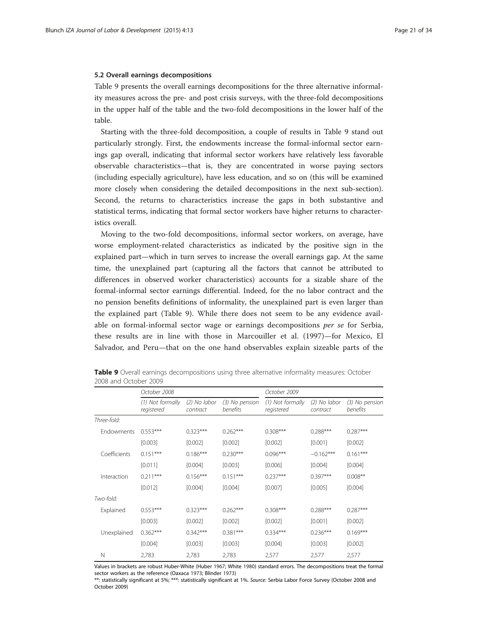#### 5.2 Overall earnings decompositions

Table 9 presents the overall earnings decompositions for the three alternative informality measures across the pre- and post crisis surveys, with the three-fold decompositions in the upper half of the table and the two-fold decompositions in the lower half of the table.

Starting with the three-fold decomposition, a couple of results in Table 9 stand out particularly strongly. First, the endowments increase the formal-informal sector earnings gap overall, indicating that informal sector workers have relatively less favorable observable characteristics—that is, they are concentrated in worse paying sectors (including especially agriculture), have less education, and so on (this will be examined more closely when considering the detailed decompositions in the next sub-section). Second, the returns to characteristics increase the gaps in both substantive and statistical terms, indicating that formal sector workers have higher returns to characteristics overall.

Moving to the two-fold decompositions, informal sector workers, on average, have worse employment-related characteristics as indicated by the positive sign in the explained part—which in turn serves to increase the overall earnings gap. At the same time, the unexplained part (capturing all the factors that cannot be attributed to differences in observed worker characteristics) accounts for a sizable share of the formal-informal sector earnings differential. Indeed, for the no labor contract and the no pension benefits definitions of informality, the unexplained part is even larger than the explained part (Table 9). While there does not seem to be any evidence available on formal-informal sector wage or earnings decompositions per se for Serbia, these results are in line with those in Marcouiller et al. ([1997](#page-33-0))—for Mexico, El Salvador, and Peru—that on the one hand observables explain sizeable parts of the

|              | October 2008                   |                          |                            | October 2009                   |                          |                            |  |
|--------------|--------------------------------|--------------------------|----------------------------|--------------------------------|--------------------------|----------------------------|--|
|              | (1) Not formally<br>registered | (2) No labor<br>contract | (3) No pension<br>benefits | (1) Not formally<br>registered | (2) No labor<br>contract | (3) No pension<br>benefits |  |
| Three-fold:  |                                |                          |                            |                                |                          |                            |  |
| Endowments   | $0.553***$                     | $0.323***$               | $0.262***$                 | $0.308***$                     | $0.288***$               | $0.287***$                 |  |
|              | [0.003]                        | [0.002]                  | [0.002]                    | [0.002]                        | [0.001]                  | [0.002]                    |  |
| Coefficients | $0.151***$                     | $0.186***$               | $0.230***$                 | $0.096***$                     | $-0.162***$              | $0.161***$                 |  |
|              | [0.011]                        | [0.004]                  | [0.003]                    | [0.006]                        | [0.004]                  | [0.004]                    |  |
| Interaction  | $0.211***$                     | $0.156***$               | $0.151***$                 | $0.237***$                     | $0.397***$               | $0.008**$                  |  |
|              | [0.012]                        | [0.004]                  | [0.004]                    | [0.007]                        | [0.005]                  | [0.004]                    |  |
| Two-fold:    |                                |                          |                            |                                |                          |                            |  |
| Explained    | $0.553***$                     | $0.323***$               | $0.262***$                 | $0.308***$                     | $0.288***$               | $0.287***$                 |  |
|              | [0.003]                        | [0.002]                  | [0.002]                    | [0.002]                        | [0.001]                  | [0.002]                    |  |
| Unexplained  | $0.362***$                     | $0.342***$               | $0.381***$                 | $0.334***$                     | $0.236***$               | $0.169***$                 |  |
|              | [0.004]                        | [0.003]                  | [0.003]                    | [0.004]                        | [0.003]                  | [0.002]                    |  |
| $\mathsf{N}$ | 2,783                          | 2,783                    | 2,783                      | 2,577                          | 2,577                    | 2,577                      |  |

**Table 9** Overall earnings decompositions using three alternative informality measures: October 2008 and October 2009

Values in brackets are robust Huber-White (Huber [1967;](#page-32-0) White [1980\)](#page-33-0) standard errors. The decompositions treat the formal sector workers as the reference (Oaxaca [1973;](#page-33-0) Blinder [1973](#page-32-0))

\*\*: statistically significant at 5%; \*\*\*: statistically significant at 1%. Source: Serbia Labor Force Survey (October 2008 and October 2009)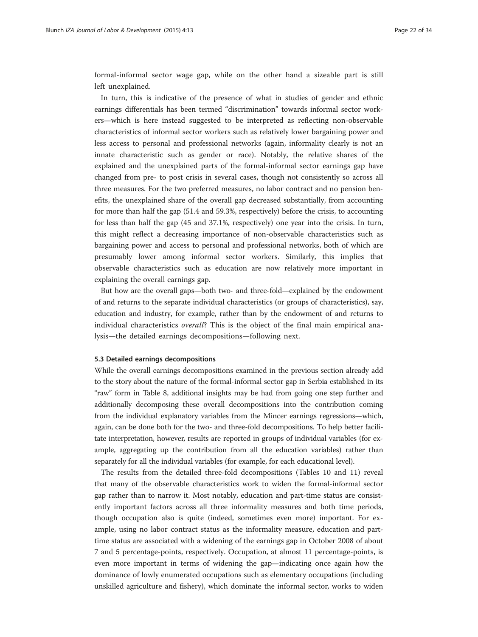formal-informal sector wage gap, while on the other hand a sizeable part is still left unexplained.

In turn, this is indicative of the presence of what in studies of gender and ethnic earnings differentials has been termed "discrimination" towards informal sector workers—which is here instead suggested to be interpreted as reflecting non-observable characteristics of informal sector workers such as relatively lower bargaining power and less access to personal and professional networks (again, informality clearly is not an innate characteristic such as gender or race). Notably, the relative shares of the explained and the unexplained parts of the formal-informal sector earnings gap have changed from pre- to post crisis in several cases, though not consistently so across all three measures. For the two preferred measures, no labor contract and no pension benefits, the unexplained share of the overall gap decreased substantially, from accounting for more than half the gap (51.4 and 59.3%, respectively) before the crisis, to accounting for less than half the gap (45 and 37.1%, respectively) one year into the crisis. In turn, this might reflect a decreasing importance of non-observable characteristics such as bargaining power and access to personal and professional networks, both of which are presumably lower among informal sector workers. Similarly, this implies that observable characteristics such as education are now relatively more important in explaining the overall earnings gap.

But how are the overall gaps—both two- and three-fold—explained by the endowment of and returns to the separate individual characteristics (or groups of characteristics), say, education and industry, for example, rather than by the endowment of and returns to individual characteristics *overall*? This is the object of the final main empirical analysis—the detailed earnings decompositions—following next.

#### 5.3 Detailed earnings decompositions

While the overall earnings decompositions examined in the previous section already add to the story about the nature of the formal-informal sector gap in Serbia established in its "raw" form in Table [8](#page-15-0), additional insights may be had from going one step further and additionally decomposing these overall decompositions into the contribution coming from the individual explanatory variables from the Mincer earnings regressions—which, again, can be done both for the two- and three-fold decompositions. To help better facilitate interpretation, however, results are reported in groups of individual variables (for example, aggregating up the contribution from all the education variables) rather than separately for all the individual variables (for example, for each educational level).

The results from the detailed three-fold decompositions (Tables [10](#page-22-0) and [11\)](#page-23-0) reveal that many of the observable characteristics work to widen the formal-informal sector gap rather than to narrow it. Most notably, education and part-time status are consistently important factors across all three informality measures and both time periods, though occupation also is quite (indeed, sometimes even more) important. For example, using no labor contract status as the informality measure, education and parttime status are associated with a widening of the earnings gap in October 2008 of about 7 and 5 percentage-points, respectively. Occupation, at almost 11 percentage-points, is even more important in terms of widening the gap—indicating once again how the dominance of lowly enumerated occupations such as elementary occupations (including unskilled agriculture and fishery), which dominate the informal sector, works to widen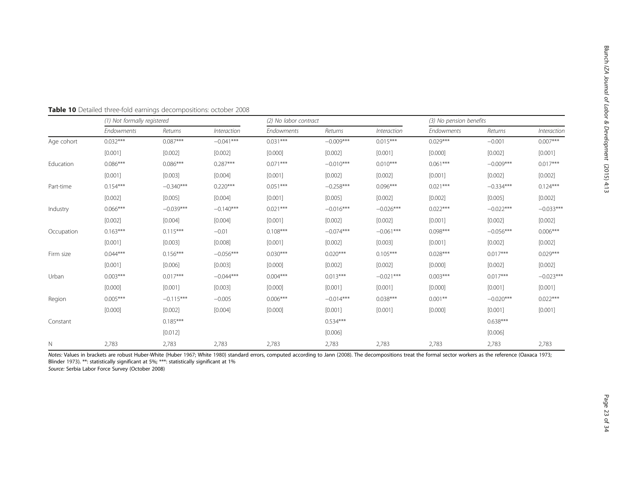|            | (1) Not formally registered |             |             |            | (2) No labor contract |             |            | (3) No pension benefits |             |  |
|------------|-----------------------------|-------------|-------------|------------|-----------------------|-------------|------------|-------------------------|-------------|--|
|            | Endowments                  | Returns     | Interaction | Endowments | Returns               | Interaction | Endowments | Returns                 | Interaction |  |
| Age cohort | $0.032***$                  | $0.087***$  | $-0.041***$ | $0.031***$ | $-0.009***$           | $0.015***$  | $0.029***$ | $-0.001$                | $0.007***$  |  |
|            | [0.001]                     | [0.002]     | [0.002]     | [0.000]    | [0.002]               | [0.001]     | [0.000]    | [0.002]                 | [0.001]     |  |
| Education  | $0.086***$                  | $0.086***$  | $0.287***$  | $0.071***$ | $-0.010***$           | $0.010***$  | $0.061***$ | $-0.009***$             | $0.017***$  |  |
|            | [0.001]                     | [0.003]     | [0.004]     | [0.001]    | [0.002]               | [0.002]     | [0.001]    | [0.002]                 | [0.002]     |  |
| Part-time  | $0.154***$                  | $-0.340***$ | $0.220***$  | $0.051***$ | $-0.258***$           | $0.096***$  | $0.021***$ | $-0.334***$             | $0.124***$  |  |
|            | [0.002]                     | [0.005]     | [0.004]     | [0.001]    | [0.005]               | [0.002]     | [0.002]    | [0.005]                 | [0.002]     |  |
| Industry   | $0.066***$                  | $-0.039***$ | $-0.140***$ | $0.021***$ | $-0.016***$           | $-0.026***$ | $0.022***$ | $-0.022***$             | $-0.033***$ |  |
|            | [0.002]                     | [0.004]     | [0.004]     | [0.001]    | [0.002]               | [0.002]     | [0.001]    | [0.002]                 | [0.002]     |  |
| Occupation | $0.163***$                  | $0.115***$  | $-0.01$     | $0.108***$ | $-0.074***$           | $-0.061***$ | $0.098***$ | $-0.056***$             | $0.006***$  |  |
|            | [0.001]                     | [0.003]     | [0.008]     | [0.001]    | [0.002]               | [0.003]     | [0.001]    | [0.002]                 | [0.002]     |  |
| Firm size  | $0.044***$                  | $0.156***$  | $-0.056***$ | $0.030***$ | $0.020***$            | $0.105***$  | $0.028***$ | $0.017***$              | $0.029***$  |  |
|            | [0.001]                     | [0.006]     | [0.003]     | [0.000]    | [0.002]               | [0.002]     | [0.000]    | [0.002]                 | [0.002]     |  |
| Urban      | $0.003***$                  | $0.017***$  | $-0.044***$ | $0.004***$ | $0.013***$            | $-0.021***$ | $0.003***$ | $0.017***$              | $-0.023***$ |  |
|            | [0.000]                     | [0.001]     | [0.003]     | [0.000]    | [0.001]               | [0.001]     | [0.000]    | [0.001]                 | [0.001]     |  |
| Region     | $0.005***$                  | $-0.115***$ | $-0.005$    | $0.006***$ | $-0.014***$           | $0.038***$  | $0.001**$  | $-0.020***$             | $0.022***$  |  |
|            | [0.000]                     | [0.002]     | [0.004]     | [0.000]    | [0.001]               | [0.001]     | [0.000]    | [0.001]                 | [0.001]     |  |
| Constant   |                             | $0.185***$  |             |            | $0.534***$            |             |            | $0.638***$              |             |  |
|            |                             | [0.012]     |             |            | [0.006]               |             |            | [0.006]                 |             |  |
| N          | 2,783                       | 2,783       | 2,783       | 2,783      | 2,783                 | 2,783       | 2,783      | 2,783                   | 2,783       |  |

<span id="page-22-0"></span>Table 10 Detailed three-fold earnings decompositions: october 2008

Notes: Values in brackets are robust Huber-White (Huber [1967;](#page-32-0) White [1980](#page-33-0)) standard errors, computed according to Jann ([2008\)](#page-32-0). The decompositions treat the formal sector workers as the reference (Oaxaca [1973;](#page-33-0) Blinder [1973](#page-32-0)). \*\*: statistically significant at 5%; \*\*\*: statistically significant at 1%

Source: Serbia Labor Force Survey (October 2008)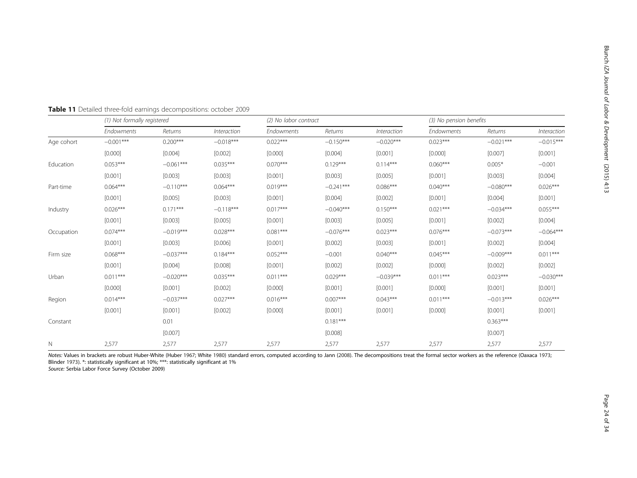|              | (1) Not formally registered |             |             | (2) No labor contract |             |             | (3) No pension benefits |             |             |
|--------------|-----------------------------|-------------|-------------|-----------------------|-------------|-------------|-------------------------|-------------|-------------|
|              | Endowments                  | Returns     | Interaction | Endowments            | Returns     | Interaction | Endowments              | Returns     | Interaction |
| Age cohort   | $-0.001***$                 | $0.200***$  | $-0.018***$ | $0.022***$            | $-0.150***$ | $-0.020***$ | $0.023***$              | $-0.021***$ | $-0.015***$ |
|              | [0.000]                     | [0.004]     | [0.002]     | [0.000]               | [0.004]     | [0.001]     | [0.000]                 | [0.007]     | [0.001]     |
| Education    | $0.053***$                  | $-0.061***$ | $0.035***$  | $0.070***$            | $0.129***$  | $0.114***$  | $0.060***$              | $0.005*$    | $-0.001$    |
|              | [0.001]                     | [0.003]     | [0.003]     | [0.001]               | [0.003]     | [0.005]     | [0.001]                 | [0.003]     | [0.004]     |
| Part-time    | $0.064***$                  | $-0.110***$ | $0.064***$  | $0.019***$            | $-0.241***$ | $0.086***$  | $0.040***$              | $-0.080***$ | $0.026***$  |
|              | [0.001]                     | [0.005]     | [0.003]     | [0.001]               | [0.004]     | [0.002]     | [0.001]                 | [0.004]     | [0.001]     |
| Industry     | $0.026***$                  | $0.171***$  | $-0.118***$ | $0.017***$            | $-0.040***$ | $0.150***$  | $0.021***$              | $-0.034***$ | $0.055***$  |
|              | [0.001]                     | [0.003]     | [0.005]     | [0.001]               | [0.003]     | [0.005]     | [0.001]                 | [0.002]     | [0.004]     |
| Occupation   | $0.074***$                  | $-0.019***$ | $0.028***$  | $0.081***$            | $-0.076***$ | $0.023***$  | $0.076***$              | $-0.073***$ | $-0.064***$ |
|              | [0.001]                     | [0.003]     | [0.006]     | [0.001]               | [0.002]     | [0.003]     | [0.001]                 | [0.002]     | [0.004]     |
| Firm size    | $0.068***$                  | $-0.037***$ | $0.184***$  | $0.052***$            | $-0.001$    | $0.040***$  | $0.045***$              | $-0.009***$ | $0.011***$  |
|              | [0.001]                     | [0.004]     | [0.008]     | [0.001]               | [0.002]     | [0.002]     | [0.000]                 | [0.002]     | [0.002]     |
| Urban        | $0.011***$                  | $-0.020***$ | $0.035***$  | $0.011***$            | $0.029***$  | $-0.039***$ | $0.011***$              | $0.023***$  | $-0.030***$ |
|              | [0.000]                     | [0.001]     | [0.002]     | [0.000]               | [0.001]     | [0.001]     | [0.000]                 | [0.001]     | [0.001]     |
| Region       | $0.014***$                  | $-0.037***$ | $0.027***$  | $0.016***$            | $0.007***$  | $0.043***$  | $0.011***$              | $-0.013***$ | $0.026***$  |
|              | [0.001]                     | [0.001]     | [0.002]     | [0.000]               | [0.001]     | [0.001]     | [0.000]                 | [0.001]     | [0.001]     |
| Constant     |                             | 0.01        |             |                       | $0.181***$  |             |                         | $0.363***$  |             |
|              |                             | [0.007]     |             |                       | [0.008]     |             |                         | [0.007]     |             |
| $\mathsf{N}$ | 2,577                       | 2,577       | 2,577       | 2,577                 | 2,577       | 2,577       | 2,577                   | 2,577       | 2,577       |

<span id="page-23-0"></span>

Notes: Values in brackets are robust Huber-White (Huber [1967;](#page-32-0) White [1980](#page-33-0)) standard errors, computed according to Jann ([2008\)](#page-32-0). The decompositions treat the formal sector workers as the reference (Oaxaca [1973;](#page-33-0) Blinder [1973](#page-32-0)). \*: statistically significant at 10%; \*\*\*: statistically significant at 1%

Source: Serbia Labor Force Survey (October 2009)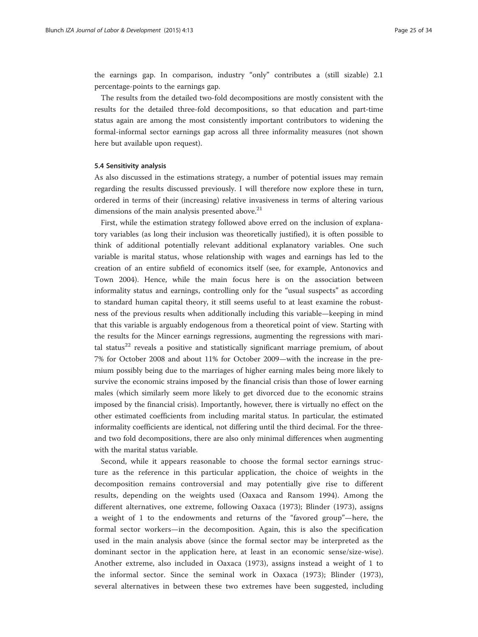the earnings gap. In comparison, industry "only" contributes a (still sizable) 2.1 percentage-points to the earnings gap.

The results from the detailed two-fold decompositions are mostly consistent with the results for the detailed three-fold decompositions, so that education and part-time status again are among the most consistently important contributors to widening the formal-informal sector earnings gap across all three informality measures (not shown here but available upon request).

# 5.4 Sensitivity analysis

As also discussed in the estimations strategy, a number of potential issues may remain regarding the results discussed previously. I will therefore now explore these in turn, ordered in terms of their (increasing) relative invasiveness in terms of altering various dimensions of the main analysis presented above. $21$ 

First, while the estimation strategy followed above erred on the inclusion of explanatory variables (as long their inclusion was theoretically justified), it is often possible to think of additional potentially relevant additional explanatory variables. One such variable is marital status, whose relationship with wages and earnings has led to the creation of an entire subfield of economics itself (see, for example, Antonovics and Town [2004\)](#page-32-0). Hence, while the main focus here is on the association between informality status and earnings, controlling only for the "usual suspects" as according to standard human capital theory, it still seems useful to at least examine the robustness of the previous results when additionally including this variable—keeping in mind that this variable is arguably endogenous from a theoretical point of view. Starting with the results for the Mincer earnings regressions, augmenting the regressions with marital status $^{22}$  reveals a positive and statistically significant marriage premium, of about 7% for October 2008 and about 11% for October 2009—with the increase in the premium possibly being due to the marriages of higher earning males being more likely to survive the economic strains imposed by the financial crisis than those of lower earning males (which similarly seem more likely to get divorced due to the economic strains imposed by the financial crisis). Importantly, however, there is virtually no effect on the other estimated coefficients from including marital status. In particular, the estimated informality coefficients are identical, not differing until the third decimal. For the threeand two fold decompositions, there are also only minimal differences when augmenting with the marital status variable.

Second, while it appears reasonable to choose the formal sector earnings structure as the reference in this particular application, the choice of weights in the decomposition remains controversial and may potentially give rise to different results, depending on the weights used (Oaxaca and Ransom [1994](#page-33-0)). Among the different alternatives, one extreme, following Oaxaca ([1973\)](#page-33-0); Blinder ([1973\)](#page-32-0), assigns a weight of 1 to the endowments and returns of the "favored group"—here, the formal sector workers—in the decomposition. Again, this is also the specification used in the main analysis above (since the formal sector may be interpreted as the dominant sector in the application here, at least in an economic sense/size-wise). Another extreme, also included in Oaxaca ([1973\)](#page-33-0), assigns instead a weight of 1 to the informal sector. Since the seminal work in Oaxaca ([1973\)](#page-33-0); Blinder ([1973](#page-32-0)), several alternatives in between these two extremes have been suggested, including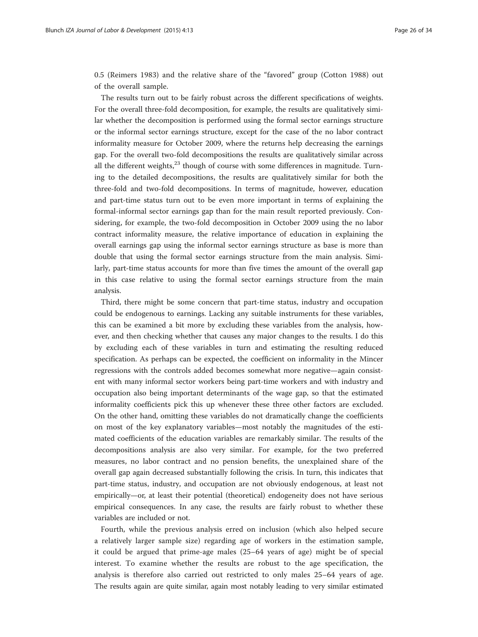0.5 (Reimers [1983\)](#page-33-0) and the relative share of the "favored" group (Cotton [1988](#page-32-0)) out of the overall sample.

The results turn out to be fairly robust across the different specifications of weights. For the overall three-fold decomposition, for example, the results are qualitatively similar whether the decomposition is performed using the formal sector earnings structure or the informal sector earnings structure, except for the case of the no labor contract informality measure for October 2009, where the returns help decreasing the earnings gap. For the overall two-fold decompositions the results are qualitatively similar across all the different weights, $^{23}$  though of course with some differences in magnitude. Turning to the detailed decompositions, the results are qualitatively similar for both the three-fold and two-fold decompositions. In terms of magnitude, however, education and part-time status turn out to be even more important in terms of explaining the formal-informal sector earnings gap than for the main result reported previously. Considering, for example, the two-fold decomposition in October 2009 using the no labor contract informality measure, the relative importance of education in explaining the overall earnings gap using the informal sector earnings structure as base is more than double that using the formal sector earnings structure from the main analysis. Similarly, part-time status accounts for more than five times the amount of the overall gap in this case relative to using the formal sector earnings structure from the main analysis.

Third, there might be some concern that part-time status, industry and occupation could be endogenous to earnings. Lacking any suitable instruments for these variables, this can be examined a bit more by excluding these variables from the analysis, however, and then checking whether that causes any major changes to the results. I do this by excluding each of these variables in turn and estimating the resulting reduced specification. As perhaps can be expected, the coefficient on informality in the Mincer regressions with the controls added becomes somewhat more negative—again consistent with many informal sector workers being part-time workers and with industry and occupation also being important determinants of the wage gap, so that the estimated informality coefficients pick this up whenever these three other factors are excluded. On the other hand, omitting these variables do not dramatically change the coefficients on most of the key explanatory variables—most notably the magnitudes of the estimated coefficients of the education variables are remarkably similar. The results of the decompositions analysis are also very similar. For example, for the two preferred measures, no labor contract and no pension benefits, the unexplained share of the overall gap again decreased substantially following the crisis. In turn, this indicates that part-time status, industry, and occupation are not obviously endogenous, at least not empirically—or, at least their potential (theoretical) endogeneity does not have serious empirical consequences. In any case, the results are fairly robust to whether these variables are included or not.

Fourth, while the previous analysis erred on inclusion (which also helped secure a relatively larger sample size) regarding age of workers in the estimation sample, it could be argued that prime-age males (25–64 years of age) might be of special interest. To examine whether the results are robust to the age specification, the analysis is therefore also carried out restricted to only males 25–64 years of age. The results again are quite similar, again most notably leading to very similar estimated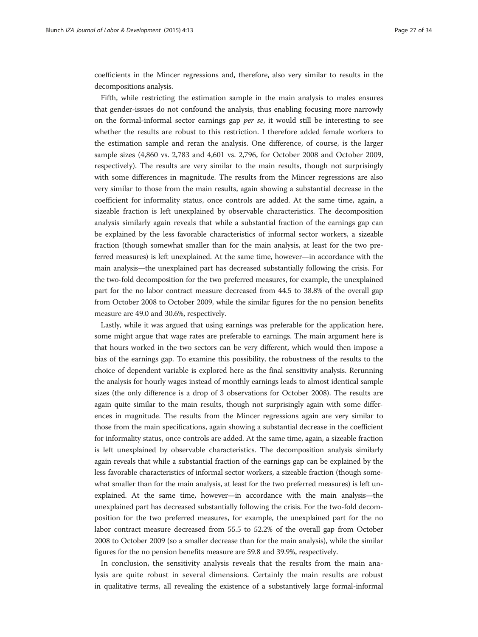coefficients in the Mincer regressions and, therefore, also very similar to results in the decompositions analysis.

Fifth, while restricting the estimation sample in the main analysis to males ensures that gender-issues do not confound the analysis, thus enabling focusing more narrowly on the formal-informal sector earnings gap *per se*, it would still be interesting to see whether the results are robust to this restriction. I therefore added female workers to the estimation sample and reran the analysis. One difference, of course, is the larger sample sizes (4,860 vs. 2,783 and 4,601 vs. 2,796, for October 2008 and October 2009, respectively). The results are very similar to the main results, though not surprisingly with some differences in magnitude. The results from the Mincer regressions are also very similar to those from the main results, again showing a substantial decrease in the coefficient for informality status, once controls are added. At the same time, again, a sizeable fraction is left unexplained by observable characteristics. The decomposition analysis similarly again reveals that while a substantial fraction of the earnings gap can be explained by the less favorable characteristics of informal sector workers, a sizeable fraction (though somewhat smaller than for the main analysis, at least for the two preferred measures) is left unexplained. At the same time, however—in accordance with the main analysis—the unexplained part has decreased substantially following the crisis. For the two-fold decomposition for the two preferred measures, for example, the unexplained part for the no labor contract measure decreased from 44.5 to 38.8% of the overall gap from October 2008 to October 2009, while the similar figures for the no pension benefits measure are 49.0 and 30.6%, respectively.

Lastly, while it was argued that using earnings was preferable for the application here, some might argue that wage rates are preferable to earnings. The main argument here is that hours worked in the two sectors can be very different, which would then impose a bias of the earnings gap. To examine this possibility, the robustness of the results to the choice of dependent variable is explored here as the final sensitivity analysis. Rerunning the analysis for hourly wages instead of monthly earnings leads to almost identical sample sizes (the only difference is a drop of 3 observations for October 2008). The results are again quite similar to the main results, though not surprisingly again with some differences in magnitude. The results from the Mincer regressions again are very similar to those from the main specifications, again showing a substantial decrease in the coefficient for informality status, once controls are added. At the same time, again, a sizeable fraction is left unexplained by observable characteristics. The decomposition analysis similarly again reveals that while a substantial fraction of the earnings gap can be explained by the less favorable characteristics of informal sector workers, a sizeable fraction (though somewhat smaller than for the main analysis, at least for the two preferred measures) is left unexplained. At the same time, however—in accordance with the main analysis—the unexplained part has decreased substantially following the crisis. For the two-fold decomposition for the two preferred measures, for example, the unexplained part for the no labor contract measure decreased from 55.5 to 52.2% of the overall gap from October 2008 to October 2009 (so a smaller decrease than for the main analysis), while the similar figures for the no pension benefits measure are 59.8 and 39.9%, respectively.

In conclusion, the sensitivity analysis reveals that the results from the main analysis are quite robust in several dimensions. Certainly the main results are robust in qualitative terms, all revealing the existence of a substantively large formal-informal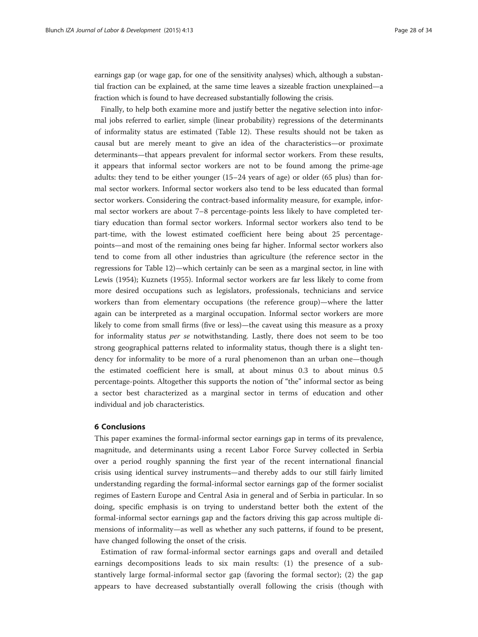<span id="page-27-0"></span>earnings gap (or wage gap, for one of the sensitivity analyses) which, although a substantial fraction can be explained, at the same time leaves a sizeable fraction unexplained—a fraction which is found to have decreased substantially following the crisis.

Finally, to help both examine more and justify better the negative selection into informal jobs referred to earlier, simple (linear probability) regressions of the determinants of informality status are estimated (Table [12](#page-28-0)). These results should not be taken as causal but are merely meant to give an idea of the characteristics—or proximate determinants—that appears prevalent for informal sector workers. From these results, it appears that informal sector workers are not to be found among the prime-age adults: they tend to be either younger (15–24 years of age) or older (65 plus) than formal sector workers. Informal sector workers also tend to be less educated than formal sector workers. Considering the contract-based informality measure, for example, informal sector workers are about 7–8 percentage-points less likely to have completed tertiary education than formal sector workers. Informal sector workers also tend to be part-time, with the lowest estimated coefficient here being about 25 percentagepoints—and most of the remaining ones being far higher. Informal sector workers also tend to come from all other industries than agriculture (the reference sector in the regressions for Table [12\)](#page-28-0)—which certainly can be seen as a marginal sector, in line with Lewis [\(1954](#page-33-0)); Kuznets ([1955](#page-33-0)). Informal sector workers are far less likely to come from more desired occupations such as legislators, professionals, technicians and service workers than from elementary occupations (the reference group)—where the latter again can be interpreted as a marginal occupation. Informal sector workers are more likely to come from small firms (five or less)—the caveat using this measure as a proxy for informality status per se notwithstanding. Lastly, there does not seem to be too strong geographical patterns related to informality status, though there is a slight tendency for informality to be more of a rural phenomenon than an urban one—though the estimated coefficient here is small, at about minus 0.3 to about minus 0.5 percentage-points. Altogether this supports the notion of "the" informal sector as being a sector best characterized as a marginal sector in terms of education and other individual and job characteristics.

# 6 Conclusions

This paper examines the formal-informal sector earnings gap in terms of its prevalence, magnitude, and determinants using a recent Labor Force Survey collected in Serbia over a period roughly spanning the first year of the recent international financial crisis using identical survey instruments—and thereby adds to our still fairly limited understanding regarding the formal-informal sector earnings gap of the former socialist regimes of Eastern Europe and Central Asia in general and of Serbia in particular. In so doing, specific emphasis is on trying to understand better both the extent of the formal-informal sector earnings gap and the factors driving this gap across multiple dimensions of informality—as well as whether any such patterns, if found to be present, have changed following the onset of the crisis.

Estimation of raw formal-informal sector earnings gaps and overall and detailed earnings decompositions leads to six main results: (1) the presence of a substantively large formal-informal sector gap (favoring the formal sector); (2) the gap appears to have decreased substantially overall following the crisis (though with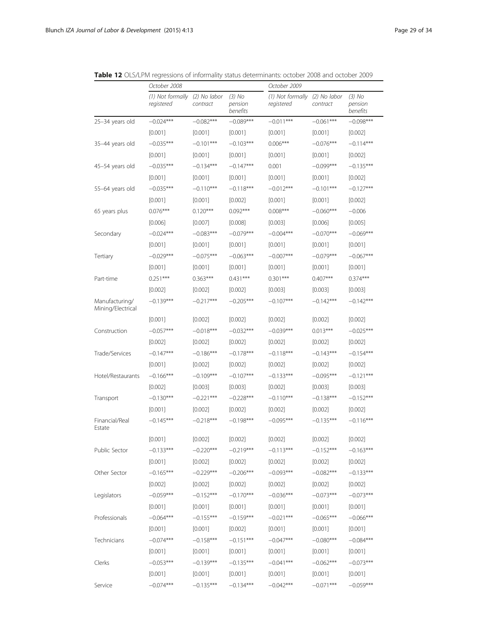|                                     | October 2008                                |             |                                 | October 2009                                |             |                               |  |
|-------------------------------------|---------------------------------------------|-------------|---------------------------------|---------------------------------------------|-------------|-------------------------------|--|
|                                     | (1) Not formally (2) No labor<br>registered | contract    | $(3)$ No<br>pension<br>benefits | (1) Not formally (2) No labor<br>registered | contract    | (3) No<br>pension<br>benefits |  |
| 25-34 years old                     | $-0.024***$                                 | $-0.082***$ | $-0.089***$                     | $-0.011***$                                 | $-0.061***$ | $-0.098***$                   |  |
|                                     | [0.001]                                     | [0.001]     | [0.001]                         | [0.001]                                     | [0.001]     | [0.002]                       |  |
| 35-44 years old                     | $-0.035***$                                 | $-0.101***$ | $-0.103***$                     | $0.006***$                                  | $-0.076***$ | $-0.114***$                   |  |
|                                     | [0.001]                                     | [0.001]     | [0.001]                         | [0.001]                                     | [0.001]     | [0.002]                       |  |
| 45-54 years old                     | $-0.035***$                                 | $-0.134***$ | $-0.147***$                     | 0.001                                       | $-0.099***$ | $-0.135***$                   |  |
|                                     | [0.001]                                     | [0.001]     | [0.001]                         | [0.001]                                     | [0.001]     | [0.002]                       |  |
| 55-64 years old                     | $-0.035***$                                 | $-0.110***$ | $-0.118***$                     | $-0.012***$                                 | $-0.101***$ | $-0.127***$                   |  |
|                                     | [0.001]                                     | [0.001]     | [0.002]                         | [0.001]                                     | [0.001]     | [0.002]                       |  |
| 65 years plus                       | $0.076***$                                  | $0.120***$  | $0.092***$                      | $0.008***$                                  | $-0.060***$ | $-0.006$                      |  |
|                                     | [0.006]                                     | [0.007]     | [0.008]                         | [0.003]                                     | [0.006]     | [0.005]                       |  |
| Secondary                           | $-0.024***$                                 | $-0.083***$ | $-0.079***$                     | $-0.004***$                                 | $-0.070***$ | $-0.069***$                   |  |
|                                     | [0.001]                                     | [0.001]     | [0.001]                         | [0.001]                                     | [0.001]     | [0.001]                       |  |
| Tertiary                            | $-0.029***$                                 | $-0.075***$ | $-0.063***$                     | $-0.007***$                                 | $-0.079***$ | $-0.067***$                   |  |
|                                     | [0.001]                                     | [0.001]     | [0.001]                         | [0.001]                                     | [0.001]     | [0.001]                       |  |
| Part-time                           | $0.251***$                                  | $0.363***$  | $0.431***$                      | $0.301***$                                  | $0.407***$  | $0.374***$                    |  |
|                                     | [0.002]                                     | [0.002]     | [0.002]                         | [0.003]                                     | [0.003]     | [0.003]                       |  |
| Manufacturing/<br>Mining/Electrical | $-0.139***$                                 | $-0.217***$ | $-0.205***$                     | $-0.107***$                                 | $-0.142***$ | $-0.142***$                   |  |
|                                     | [0.001]                                     | [0.002]     | [0.002]                         | [0.002]                                     | [0.002]     | [0.002]                       |  |
| Construction                        | $-0.057***$                                 | $-0.018***$ | $-0.032***$                     | $-0.039***$                                 | $0.013***$  | $-0.025***$                   |  |
|                                     | [0.002]                                     | [0.002]     | [0.002]                         | [0.002]                                     | [0.002]     | [0.002]                       |  |
| Trade/Services                      | $-0.147***$                                 | $-0.186***$ | $-0.178***$                     | $-0.118***$                                 | $-0.143***$ | $-0.154***$                   |  |
|                                     | [0.001]                                     | [0.002]     | [0.002]                         | $[0.002]$                                   | [0.002]     | [0.002]                       |  |
| Hotel/Restaurants                   | $-0.166***$                                 | $-0.109***$ | $-0.107***$                     | $-0.133***$                                 | $-0.095***$ | $-0.121***$                   |  |
|                                     | [0.002]                                     | [0.003]     | [0.003]                         | [0.002]                                     | [0.003]     | [0.003]                       |  |
| Transport                           | $-0.130***$                                 | $-0.221***$ | $-0.228***$                     | $-0.110***$                                 | $-0.138***$ | $-0.152***$                   |  |
|                                     | [0.001]                                     | [0.002]     | [0.002]                         | [0.002]                                     | [0.002]     | [0.002]                       |  |
| Financial/Real<br>Estate            | $-0.145***$                                 | $-0.218***$ | $-0.198***$                     | $-0.095***$                                 | $-0.135***$ | $-0.116***$                   |  |
|                                     | [0.001]                                     | [0.002]     | [0.002]                         | [0.002]                                     | [0.002]     | [0.002]                       |  |
| Public Sector                       | $-0.133***$                                 | $-0.220***$ | $-0.219***$                     | $-0.113***$                                 | $-0.152***$ | $-0.163***$                   |  |
|                                     | [0.001]                                     | [0.002]     | [0.002]                         | [0.002]                                     | [0.002]     | [0.002]                       |  |
| Other Sector                        | $-0.165***$                                 | $-0.229***$ | $-0.206***$                     | $-0.093***$                                 | $-0.082***$ | $-0.133***$                   |  |
|                                     | [0.002]                                     | [0.002]     | [0.002]                         | [0.002]                                     | [0.002]     | [0.002]                       |  |
| Legislators                         | $-0.059***$                                 | $-0.152***$ | $-0.170***$                     | $-0.036***$                                 | $-0.073***$ | $-0.073***$                   |  |
|                                     | [0.001]                                     | [0.001]     | [0.001]                         | [0.001]                                     | [0.001]     | [0.001]                       |  |
| Professionals                       | $-0.064***$                                 | $-0.155***$ | $-0.159***$                     | $-0.021***$                                 | $-0.065***$ | $-0.066***$                   |  |
|                                     | [0.001]                                     | [0.001]     | [0.002]                         | [0.001]                                     | [0.001]     | [0.001]                       |  |
| Technicians                         | $-0.074***$                                 | $-0.158***$ | $-0.151***$                     | $-0.047***$                                 | $-0.080***$ | $-0.084***$                   |  |
|                                     | [0.001]                                     | [0.001]     | [0.001]                         | [0.001]                                     | [0.001]     | [0.001]                       |  |
| Clerks                              | $-0.053***$                                 | $-0.139***$ | $-0.135***$                     | $-0.041***$                                 | $-0.062***$ | $-0.073***$                   |  |
|                                     | [0.001]                                     | [0.001]     | [0.001]                         | [0.001]                                     | [0.001]     | [0.001]                       |  |
| Service                             | $-0.074***$                                 | $-0.135***$ | $-0.134***$                     | $-0.042***$                                 | $-0.071***$ | $-0.059***$                   |  |

<span id="page-28-0"></span>Table 12 OLS/LPM regressions of informality status determinants: october 2008 and october 2009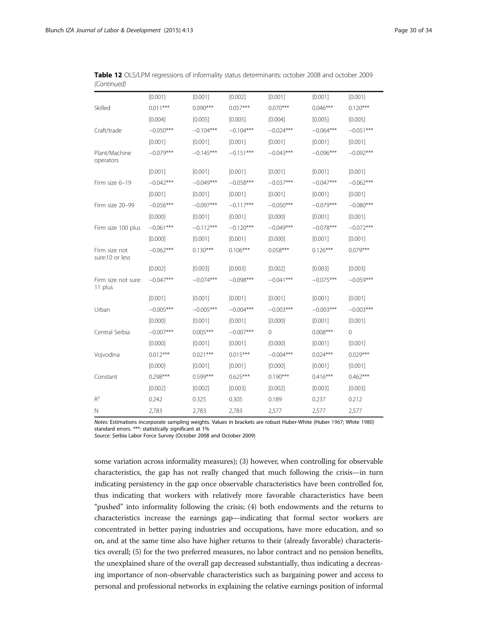|                                  | [0.001]     | [0.001]     | [0.002]     | [0.001]     | [0.001]     | [0.001]     |
|----------------------------------|-------------|-------------|-------------|-------------|-------------|-------------|
| Skilled                          | $0.011***$  | $0.090***$  | $0.057***$  | $0.070***$  | $0.046***$  | $0.120***$  |
|                                  | [0.004]     | [0.005]     | [0.005]     | [0.004]     | [0.005]     | [0.005]     |
| Craft/trade                      | $-0.050***$ | $-0.104***$ | $-0.104***$ | $-0.024***$ | $-0.064***$ | $-0.051***$ |
|                                  | [0.001]     | [0.001]     | [0.001]     | [0.001]     | [0.001]     | [0.001]     |
| Plant/Machine<br>operators       | $-0.079***$ | $-0.145***$ | $-0.151***$ | $-0.043***$ | $-0.096***$ | $-0.092***$ |
|                                  | [0.001]     | [0.001]     | [0.001]     | [0.001]     | [0.001]     | [0.001]     |
| Firm size 6-19                   | $-0.042***$ | $-0.049***$ | $-0.058***$ | $-0.037***$ | $-0.047***$ | $-0.062***$ |
|                                  | [0.001]     | [0.001]     | [0.001]     | [0.001]     | [0.001]     | [0.001]     |
| Firm size 20-99                  | $-0.056***$ | $-0.097***$ | $-0.117***$ | $-0.050***$ | $-0.079***$ | $-0.080***$ |
|                                  | [0.000]     | [0.001]     | [0.001]     | [0.000]     | [0.001]     | [0.001]     |
| Firm size 100 plus               | $-0.061***$ | $-0.112***$ | $-0.120***$ | $-0.049***$ | $-0.078***$ | $-0.072***$ |
|                                  | [0.000]     | [0.001]     | [0.001]     | [0.000]     | [0.001]     | [0.001]     |
| Firm size not<br>sure:10 or less | $-0.062***$ | $0.130***$  | $0.106***$  | $0.058***$  | $0.126***$  | $0.079***$  |
|                                  | [0.002]     | [0.003]     | [0.003]     | [0.002]     | [0.003]     | [0.003]     |
| Firm size not sure:<br>11 plus   | $-0.047***$ | $-0.074***$ | $-0.098***$ | $-0.041***$ | $-0.075***$ | $-0.059***$ |
|                                  | [0.001]     | [0.001]     | [0.001]     | [0.001]     | [0.001]     | [0.001]     |
| Urban                            | $-0.005***$ | $-0.005***$ | $-0.004***$ | $-0.003***$ | $-0.003***$ | $-0.003***$ |
|                                  | [0.000]     | [0.001]     | [0.001]     | [0.000]     | [0.001]     | [0.001]     |
| Central Serbia                   | $-0.007***$ | $0.005***$  | $-0.007***$ | 0           | $0.008***$  | $\Omega$    |
|                                  | [0.000]     | [0.001]     | [0.001]     | [0.000]     | [0.001]     | [0.001]     |
| Vojvodina                        | $0.012***$  | $0.021***$  | $0.015***$  | $-0.004***$ | $0.024***$  | $0.029***$  |
|                                  | [0.000]     | [0.001]     | [0.001]     | [0.000]     | [0.001]     | [0.001]     |
| Constant                         | $0.298***$  | $0.599***$  | $0.625***$  | $0.190***$  | $0.416***$  | $0.462***$  |
|                                  | [0.002]     | [0.002]     | [0.003]     | [0.002]     | [0.003]     | [0.003]     |
| $R^2$                            | 0.242       | 0.325       | 0.305       | 0.189       | 0.237       | 0.212       |
| Ν                                | 2,783       | 2,783       | 2,783       | 2,577       | 2,577       | 2,577       |

Table 12 OLS/LPM regressions of informality status determinants: october 2008 and october 2009 (Continued)

Notes: Estimations incorporate sampling weights. Values in brackets are robust Huber-White (Huber [1967](#page-32-0); White [1980\)](#page-33-0) standard errors. \*\*\*: statistically significant at 1%

Source: Serbia Labor Force Survey (October 2008 and October 2009)

some variation across informality measures); (3) however, when controlling for observable characteristics, the gap has not really changed that much following the crisis—in turn indicating persistency in the gap once observable characteristics have been controlled for, thus indicating that workers with relatively more favorable characteristics have been "pushed" into informality following the crisis; (4) both endowments and the returns to characteristics increase the earnings gap—indicating that formal sector workers are concentrated in better paying industries and occupations, have more education, and so on, and at the same time also have higher returns to their (already favorable) characteristics overall; (5) for the two preferred measures, no labor contract and no pension benefits, the unexplained share of the overall gap decreased substantially, thus indicating a decreasing importance of non-observable characteristics such as bargaining power and access to personal and professional networks in explaining the relative earnings position of informal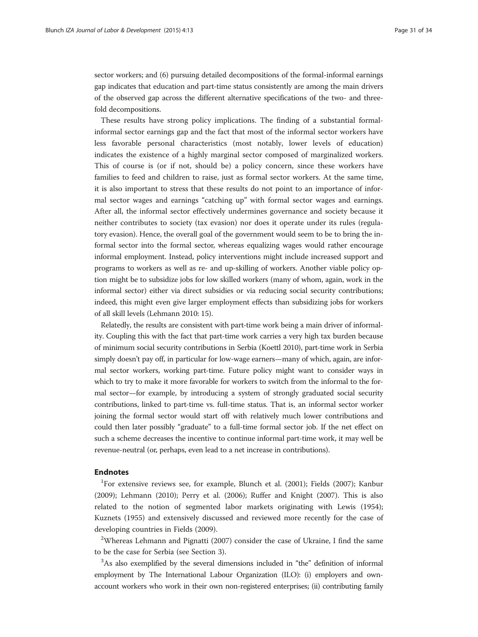sector workers; and (6) pursuing detailed decompositions of the formal-informal earnings gap indicates that education and part-time status consistently are among the main drivers of the observed gap across the different alternative specifications of the two- and threefold decompositions.

These results have strong policy implications. The finding of a substantial formalinformal sector earnings gap and the fact that most of the informal sector workers have less favorable personal characteristics (most notably, lower levels of education) indicates the existence of a highly marginal sector composed of marginalized workers. This of course is (or if not, should be) a policy concern, since these workers have families to feed and children to raise, just as formal sector workers. At the same time, it is also important to stress that these results do not point to an importance of informal sector wages and earnings "catching up" with formal sector wages and earnings. After all, the informal sector effectively undermines governance and society because it neither contributes to society (tax evasion) nor does it operate under its rules (regulatory evasion). Hence, the overall goal of the government would seem to be to bring the informal sector into the formal sector, whereas equalizing wages would rather encourage informal employment. Instead, policy interventions might include increased support and programs to workers as well as re- and up-skilling of workers. Another viable policy option might be to subsidize jobs for low skilled workers (many of whom, again, work in the informal sector) either via direct subsidies or via reducing social security contributions; indeed, this might even give larger employment effects than subsidizing jobs for workers of all skill levels (Lehmann [2010:](#page-33-0) 15).

Relatedly, the results are consistent with part-time work being a main driver of informality. Coupling this with the fact that part-time work carries a very high tax burden because of minimum social security contributions in Serbia (Koettl [2010\)](#page-33-0), part-time work in Serbia simply doesn't pay off, in particular for low-wage earners—many of which, again, are informal sector workers, working part-time. Future policy might want to consider ways in which to try to make it more favorable for workers to switch from the informal to the formal sector—for example, by introducing a system of strongly graduated social security contributions, linked to part-time vs. full-time status. That is, an informal sector worker joining the formal sector would start off with relatively much lower contributions and could then later possibly "graduate" to a full-time formal sector job. If the net effect on such a scheme decreases the incentive to continue informal part-time work, it may well be revenue-neutral (or, perhaps, even lead to a net increase in contributions).

# Endnotes

<sup>1</sup>For extensive reviews see, for example, Blunch et al. [\(2001](#page-32-0)); Fields [\(2007\)](#page-32-0); Kanbur ([2009](#page-32-0)); Lehmann [\(2010\)](#page-33-0); Perry et al. ([2006](#page-33-0)); Ruffer and Knight ([2007\)](#page-33-0). This is also related to the notion of segmented labor markets originating with Lewis ([1954](#page-33-0)); Kuznets ([1955\)](#page-33-0) and extensively discussed and reviewed more recently for the case of developing countries in Fields [\(2009\)](#page-32-0).

 $2$ Whereas Lehmann and Pignatti [\(2007\)](#page-33-0) consider the case of Ukraine, I find the same to be the case for Serbia (see Section [3\)](#page-3-0).

<sup>3</sup>As also exemplified by the several dimensions included in "the" definition of informal employment by The International Labour Organization (ILO): (i) employers and ownaccount workers who work in their own non-registered enterprises; (ii) contributing family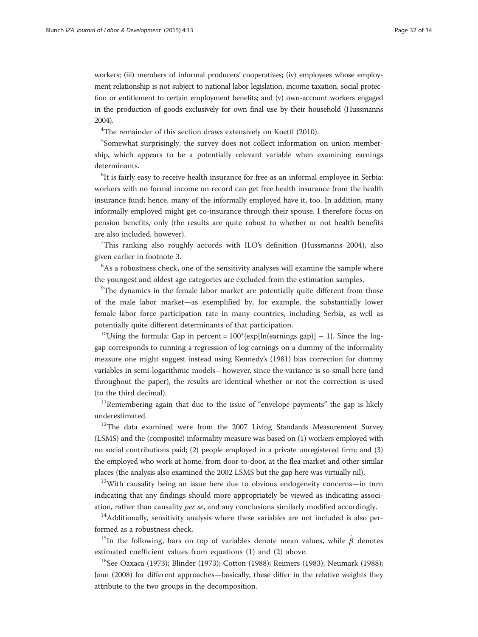workers; (iii) members of informal producers' cooperatives; (iv) employees whose employment relationship is not subject to national labor legislation, income taxation, social protection or entitlement to certain employment benefits; and (v) own-account workers engaged in the production of goods exclusively for own final use by their household (Hussmanns [2004](#page-32-0)).

<sup>4</sup>The remainder of this section draws extensively on Koettl ([2010](#page-33-0)).

<sup>5</sup>Somewhat surprisingly, the survey does not collect information on union membership, which appears to be a potentially relevant variable when examining earnings determinants.

<sup>6</sup>It is fairly easy to receive health insurance for free as an informal employee in Serbia: workers with no formal income on record can get free health insurance from the health insurance fund; hence, many of the informally employed have it, too. In addition, many informally employed might get co-insurance through their spouse. I therefore focus on pension benefits, only (the results are quite robust to whether or not health benefits are also included, however).

<sup>7</sup>This ranking also roughly accords with ILO's definition (Hussmanns [2004](#page-32-0)), also given earlier in footnote 3.

 $8$ As a robustness check, one of the sensitivity analyses will examine the sample where the youngest and oldest age categories are excluded from the estimation samples.

<sup>9</sup>The dynamics in the female labor market are potentially quite different from those of the male labor market—as exemplified by, for example, the substantially lower female labor force participation rate in many countries, including Serbia, as well as potentially quite different determinants of that participation.

<sup>10</sup>Using the formula: Gap in percent =  $100^{\circ}$ {exp[ln(earnings gap)] – 1}. Since the loggap corresponds to running a regression of log earnings on a dummy of the informality measure one might suggest instead using Kennedy's ([1981\)](#page-33-0) bias correction for dummy variables in semi-logarithmic models—however, since the variance is so small here (and throughout the paper), the results are identical whether or not the correction is used (to the third decimal).

<sup>11</sup>Remembering again that due to the issue of "envelope payments" the gap is likely underestimated.

 $12$ The data examined were from the 2007 Living Standards Measurement Survey (LSMS) and the (composite) informality measure was based on (1) workers employed with no social contributions paid; (2) people employed in a private unregistered firm; and (3) the employed who work at home, from door-to-door, at the flea market and other similar places (the analysis also examined the 2002 LSMS but the gap here was virtually nil).

 $13$ With causality being an issue here due to obvious endogeneity concerns—in turn indicating that any findings should more appropriately be viewed as indicating association, rather than causality per se, and any conclusions similarly modified accordingly.

 $14$ Additionally, sensitivity analysis where these variables are not included is also performed as a robustness check.

<sup>15</sup>In the following, bars on top of variables denote mean values, while  $\hat{\beta}$  denotes estimated coefficient values from equations ([1\)](#page-16-0) and [\(2](#page-16-0)) above.

16See Oaxaca [\(1973\)](#page-33-0); Blinder [\(1973\)](#page-32-0); Cotton ([1988\)](#page-32-0); Reimers [\(1983\)](#page-33-0); Neumark ([1988](#page-33-0)); Jann [\(2008](#page-32-0)) for different approaches—basically, these differ in the relative weights they attribute to the two groups in the decomposition.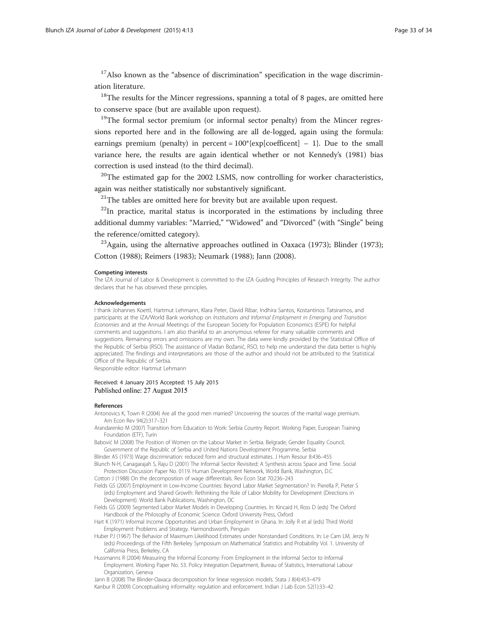<span id="page-32-0"></span> $17$ Also known as the "absence of discrimination" specification in the wage discrimination literature.

 $18$ The results for the Mincer regressions, spanning a total of 8 pages, are omitted here to conserve space (but are available upon request).

 $19$ The formal sector premium (or informal sector penalty) from the Mincer regressions reported here and in the following are all de-logged, again using the formula: earnings premium (penalty) in percent =  $100^{\circ}$ {exp[coefficent] – 1}. Due to the small variance here, the results are again identical whether or not Kennedy's ([1981\)](#page-33-0) bias correction is used instead (to the third decimal).

 $^{20}$ The estimated gap for the 2002 LSMS, now controlling for worker characteristics, again was neither statistically nor substantively significant.

 $21$ The tables are omitted here for brevity but are available upon request.

 $22$ In practice, marital status is incorporated in the estimations by including three additional dummy variables: "Married," "Widowed" and "Divorced" (with "Single" being the reference/omitted category).

 $^{23}$ Again, using the alternative approaches outlined in Oaxaca [\(1973](#page-33-0)); Blinder (1973); Cotton (1988); Reimers [\(1983](#page-33-0)); Neumark ([1988](#page-33-0)); Jann (2008).

#### Competing interests

The IZA Journal of Labor & Development is committed to the IZA Guiding Principles of Research Integrity. The author declares that he has observed these principles.

#### Acknowledgements

I thank Johannes Koettl, Hartmut Lehmann, Klara Peter, David Ribar, Indhira Santos, Kostantinos Tatsiramos, and participants at the IZA/World Bank workshop on Institutions and Informal Employment in Emerging and Transition Economies and at the Annual Meetings of the European Society for Population Economics (ESPE) for helpful comments and suggestions. I am also thankful to an anonymous referee for many valuable comments and suggestions. Remaining errors and omissions are my own. The data were kindly provided by the Statistical Office of the Republic of Serbia (RSO). The assistance of Vladan Božanić, RSO, to help me understand the data better is highly appreciated. The findings and interpretations are those of the author and should not be attributed to the Statistical Office of the Republic of Serbia.

Responsible editor: Hartmut Lehmann

### Received: 4 January 2015 Accepted: 15 July 2015 Published online: 27 August 2015

#### References

- Antonovics K, Town R (2004) Are all the good men married? Uncovering the sources of the marital wage premium. Am Econ Rev 94(2):317–321
- Arandarenko M (2007) Transition from Education to Work: Serbia Country Report. Working Paper, European Training Foundation (ETF), Turin
- Babović M (2008) The Position of Women on the Labour Market in Serbia. Belgrade, Gender Equality Council, Government of the Republic of Serbia and United Nations Development Programme, Serbia

Blinder AS (1973) Wage discrimination: reduced form and structural estimates. J Hum Resour 8:436–455 Blunch N-H, Canagarajah S, Raju D (2001) The Informal Sector Revisited: A Synthesis across Space and Time. Social Protection Discussion Paper No. 0119. Human Development Network, World Bank, Washington, D.C

Cotton J (1988) On the decomposition of wage differentials. Rev Econ Stat 70:236–243

- Fields GS (2007) Employment in Low-Income Countries: Beyond Labor Market Segmentation? In: Pierella P, Pieter S (eds) Employment and Shared Growth: Rethinking the Role of Labor Mobility for Development (Directions in Development). World Bank Publications, Washington, DC
- Fields GS (2009) Segmented Labor Market Models in Developing Countries. In: Kincaid H, Ross D (eds) The Oxford Handbook of the Philosophy of Economic Science. Oxford University Press, Oxford
- Hart K (1971) Informal Income Opportunities and Urban Employment in Ghana. In: Jolly R et al (eds) Third World Employment: Problems and Strategy. Harmondsworth, Penguin
- Huber PJ (1967) The Behavior of Maximum Likelihood Estimates under Nonstandard Conditions. In: Le Cam LM, Jerzy N (eds) Proceedings of the Fifth Berkeley Symposium on Mathematical Statistics and Probability Vol. 1. University of California Press, Berkeley, CA
- Hussmanns R (2004) Measuring the Informal Economy: From Employment in the Informal Sector to Informal Employment. Working Paper No. 53. Policy Integration Department, Bureau of Statistics, International Labour Organization, Geneva

Jann B (2008) The Blinder-Oaxaca decomposition for linear regression models. Stata J 8(4):453–479 Kanbur R (2009) Conceptualising informality: regulation and enforcement. Indian J Lab Econ 52(1):33–42